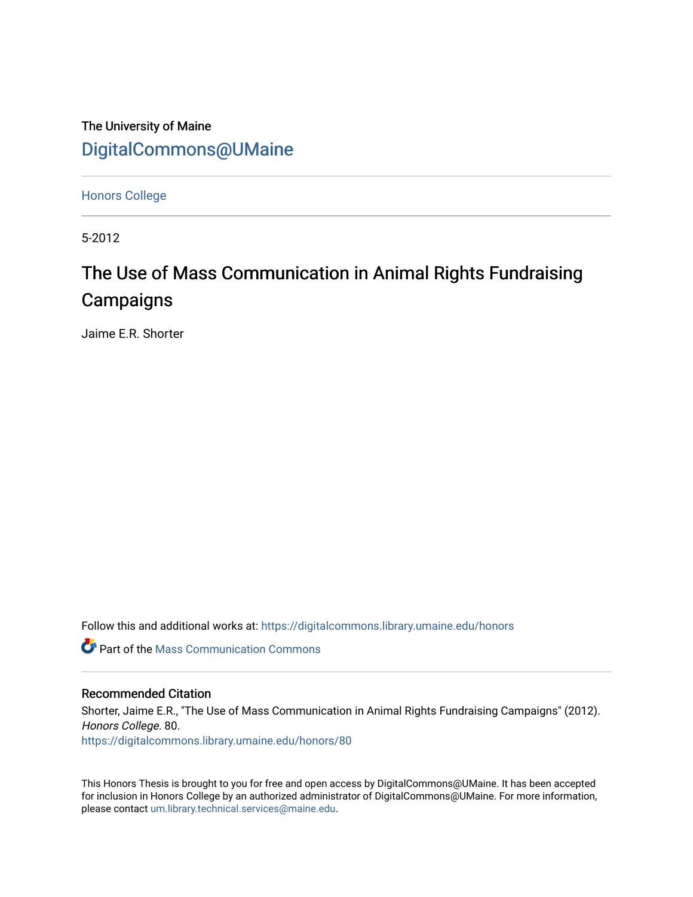The University of Maine [DigitalCommons@UMaine](https://digitalcommons.library.umaine.edu/)

[Honors College](https://digitalcommons.library.umaine.edu/honors)

5-2012

# The Use of Mass Communication in Animal Rights Fundraising **Campaigns**

Jaime E.R. Shorter

Follow this and additional works at: [https://digitalcommons.library.umaine.edu/honors](https://digitalcommons.library.umaine.edu/honors?utm_source=digitalcommons.library.umaine.edu%2Fhonors%2F80&utm_medium=PDF&utm_campaign=PDFCoverPages) 

**C** Part of the Mass Communication Commons

### Recommended Citation

Shorter, Jaime E.R., "The Use of Mass Communication in Animal Rights Fundraising Campaigns" (2012). Honors College. 80. [https://digitalcommons.library.umaine.edu/honors/80](https://digitalcommons.library.umaine.edu/honors/80?utm_source=digitalcommons.library.umaine.edu%2Fhonors%2F80&utm_medium=PDF&utm_campaign=PDFCoverPages) 

This Honors Thesis is brought to you for free and open access by DigitalCommons@UMaine. It has been accepted for inclusion in Honors College by an authorized administrator of DigitalCommons@UMaine. For more information, please contact [um.library.technical.services@maine.edu.](mailto:um.library.technical.services@maine.edu)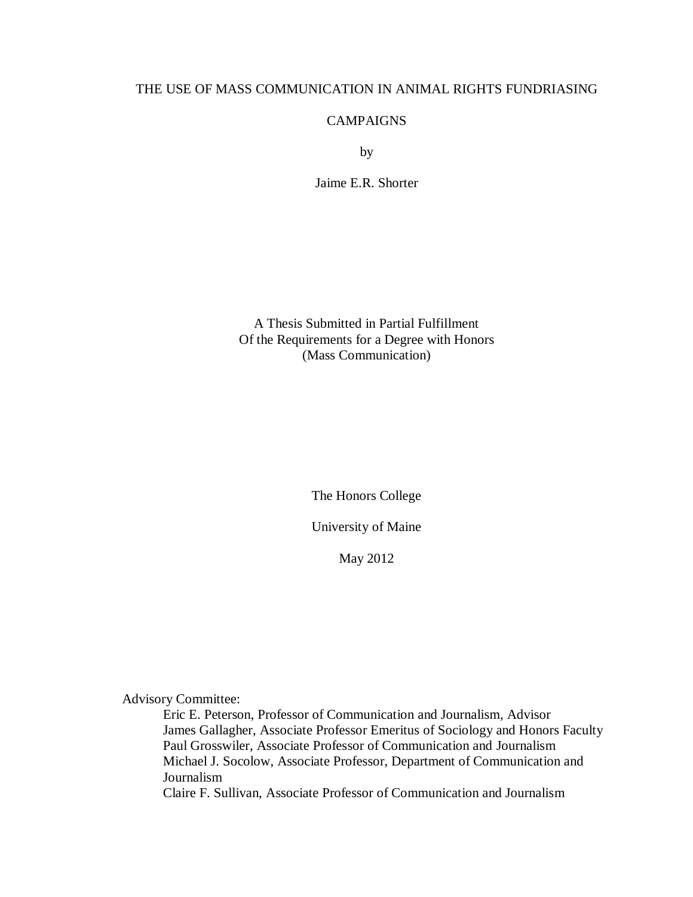# THE USE OF MASS COMMUNICATION IN ANIMAL RIGHTS FUNDRIASING

## CAMPAIGNS

by

Jaime E.R. Shorter

A Thesis Submitted in Partial Fulfillment Of the Requirements for a Degree with Honors (Mass Communication)

The Honors College

University of Maine

May 2012

Advisory Committee:

Eric E. Peterson, Professor of Communication and Journalism, Advisor James Gallagher, Associate Professor Emeritus of Sociology and Honors Faculty Paul Grosswiler, Associate Professor of Communication and Journalism Michael J. Socolow, Associate Professor, Department of Communication and Journalism Claire F. Sullivan, Associate Professor of Communication and Journalism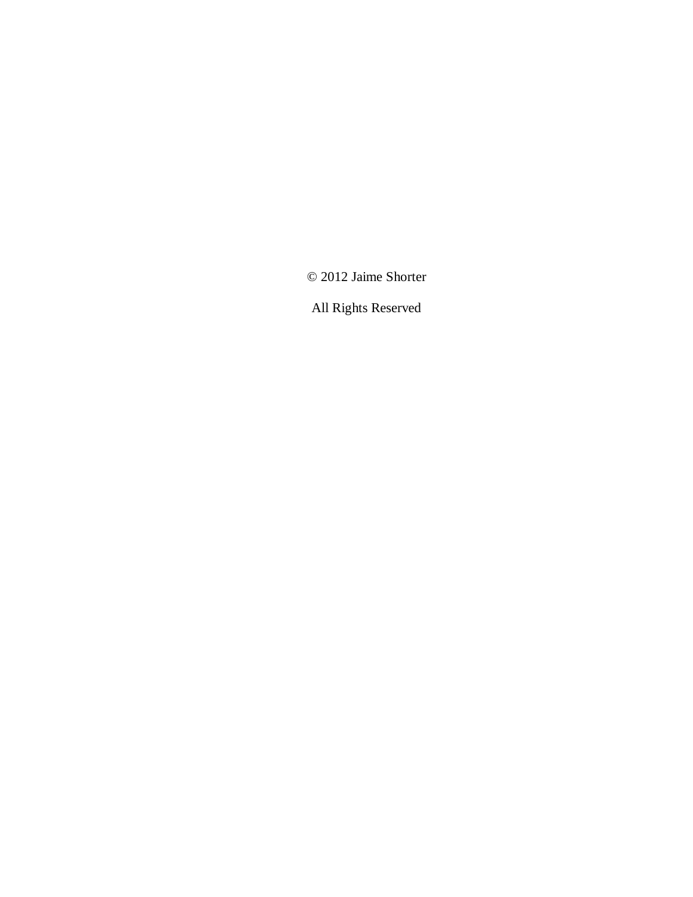© 2012 Jaime Shorter

All Rights Reserved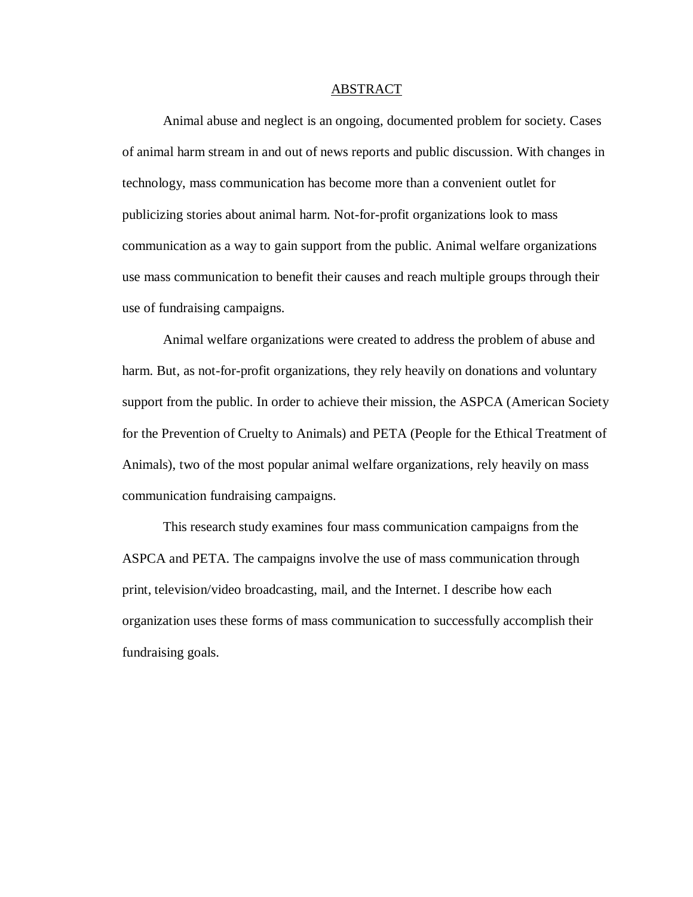#### ABSTRACT

Animal abuse and neglect is an ongoing, documented problem for society. Cases of animal harm stream in and out of news reports and public discussion. With changes in technology, mass communication has become more than a convenient outlet for publicizing stories about animal harm. Not-for-profit organizations look to mass communication as a way to gain support from the public. Animal welfare organizations use mass communication to benefit their causes and reach multiple groups through their use of fundraising campaigns.

Animal welfare organizations were created to address the problem of abuse and harm. But, as not-for-profit organizations, they rely heavily on donations and voluntary support from the public. In order to achieve their mission, the ASPCA (American Society for the Prevention of Cruelty to Animals) and PETA (People for the Ethical Treatment of Animals), two of the most popular animal welfare organizations, rely heavily on mass communication fundraising campaigns.

This research study examines four mass communication campaigns from the ASPCA and PETA. The campaigns involve the use of mass communication through print, television/video broadcasting, mail, and the Internet. I describe how each organization uses these forms of mass communication to successfully accomplish their fundraising goals.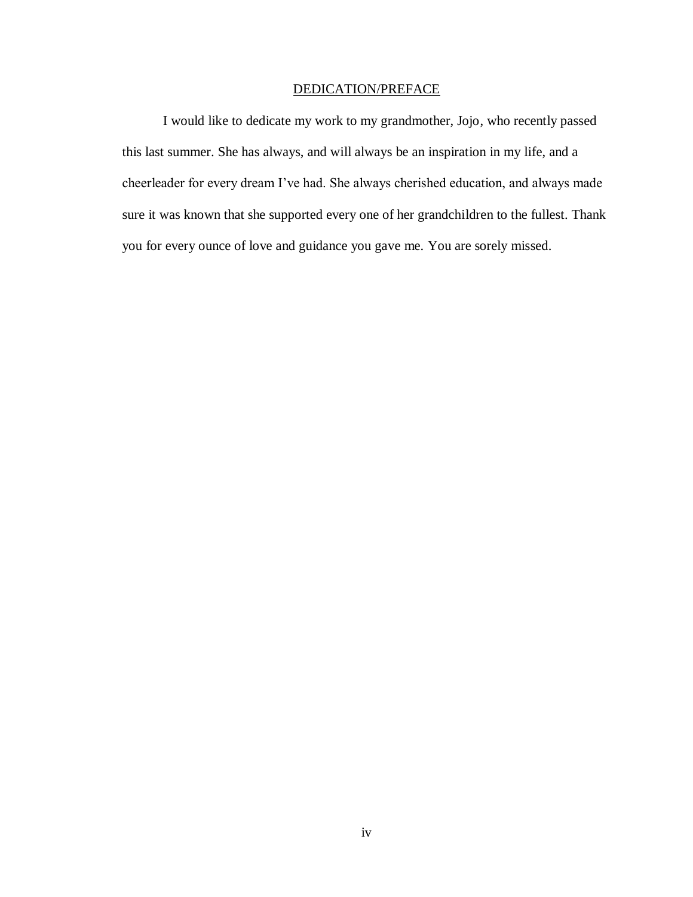# DEDICATION/PREFACE

I would like to dedicate my work to my grandmother, Jojo, who recently passed this last summer. She has always, and will always be an inspiration in my life, and a cheerleader for every dream I've had. She always cherished education, and always made sure it was known that she supported every one of her grandchildren to the fullest. Thank you for every ounce of love and guidance you gave me. You are sorely missed.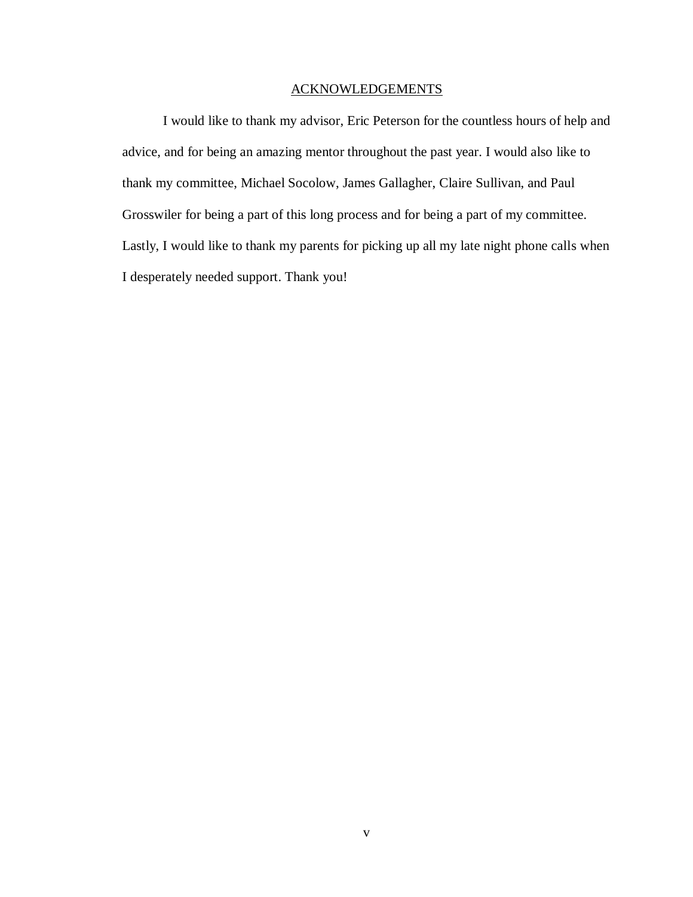# ACKNOWLEDGEMENTS

I would like to thank my advisor, Eric Peterson for the countless hours of help and advice, and for being an amazing mentor throughout the past year. I would also like to thank my committee, Michael Socolow, James Gallagher, Claire Sullivan, and Paul Grosswiler for being a part of this long process and for being a part of my committee. Lastly, I would like to thank my parents for picking up all my late night phone calls when I desperately needed support. Thank you!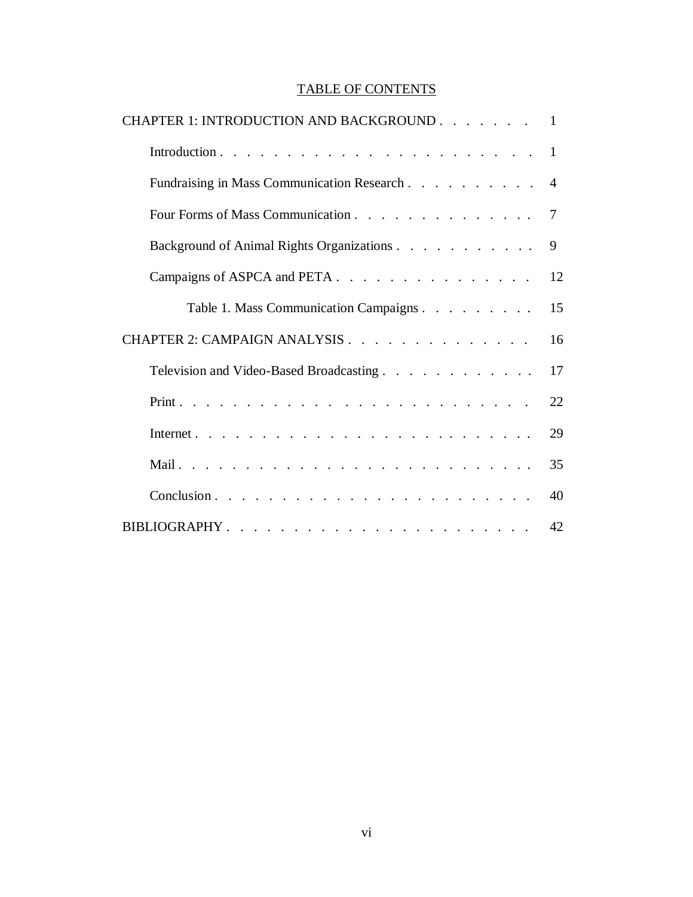# TABLE OF CONTENTS

| CHAPTER 1: INTRODUCTION AND BACKGROUND 1     |    |  |  |  |
|----------------------------------------------|----|--|--|--|
|                                              |    |  |  |  |
| Fundraising in Mass Communication Research 4 |    |  |  |  |
| Four Forms of Mass Communication 7           |    |  |  |  |
| Background of Animal Rights Organizations    |    |  |  |  |
| Campaigns of ASPCA and PETA.                 |    |  |  |  |
| Table 1. Mass Communication Campaigns        | 15 |  |  |  |
| CHAPTER 2: CAMPAIGN ANALYSIS                 |    |  |  |  |
| Television and Video-Based Broadcasting.     |    |  |  |  |
|                                              | 22 |  |  |  |
|                                              | 29 |  |  |  |
|                                              | 35 |  |  |  |
|                                              | 40 |  |  |  |
|                                              | 42 |  |  |  |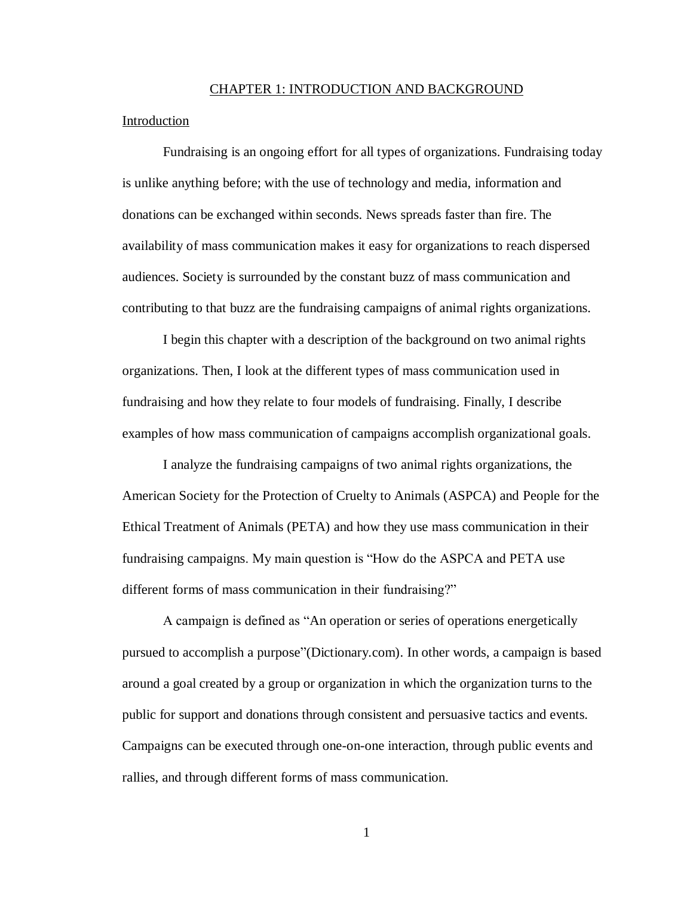#### CHAPTER 1: INTRODUCTION AND BACKGROUND

## **Introduction**

Fundraising is an ongoing effort for all types of organizations. Fundraising today is unlike anything before; with the use of technology and media, information and donations can be exchanged within seconds. News spreads faster than fire. The availability of mass communication makes it easy for organizations to reach dispersed audiences. Society is surrounded by the constant buzz of mass communication and contributing to that buzz are the fundraising campaigns of animal rights organizations.

I begin this chapter with a description of the background on two animal rights organizations. Then, I look at the different types of mass communication used in fundraising and how they relate to four models of fundraising. Finally, I describe examples of how mass communication of campaigns accomplish organizational goals.

I analyze the fundraising campaigns of two animal rights organizations, the American Society for the Protection of Cruelty to Animals (ASPCA) and People for the Ethical Treatment of Animals (PETA) and how they use mass communication in their fundraising campaigns. My main question is "How do the ASPCA and PETA use different forms of mass communication in their fundraising?"

A campaign is defined as "An operation or series of operations energetically pursued to accomplish a purpose"(Dictionary.com). In other words, a campaign is based around a goal created by a group or organization in which the organization turns to the public for support and donations through consistent and persuasive tactics and events. Campaigns can be executed through one-on-one interaction, through public events and rallies, and through different forms of mass communication.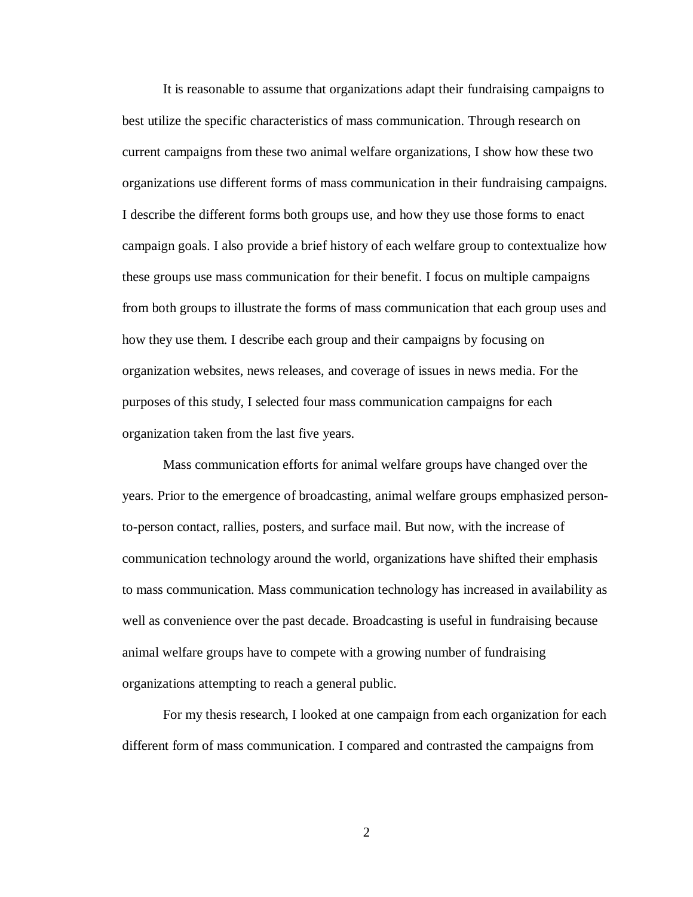It is reasonable to assume that organizations adapt their fundraising campaigns to best utilize the specific characteristics of mass communication. Through research on current campaigns from these two animal welfare organizations, I show how these two organizations use different forms of mass communication in their fundraising campaigns. I describe the different forms both groups use, and how they use those forms to enact campaign goals. I also provide a brief history of each welfare group to contextualize how these groups use mass communication for their benefit. I focus on multiple campaigns from both groups to illustrate the forms of mass communication that each group uses and how they use them. I describe each group and their campaigns by focusing on organization websites, news releases, and coverage of issues in news media. For the purposes of this study, I selected four mass communication campaigns for each organization taken from the last five years.

Mass communication efforts for animal welfare groups have changed over the years. Prior to the emergence of broadcasting, animal welfare groups emphasized personto-person contact, rallies, posters, and surface mail. But now, with the increase of communication technology around the world, organizations have shifted their emphasis to mass communication. Mass communication technology has increased in availability as well as convenience over the past decade. Broadcasting is useful in fundraising because animal welfare groups have to compete with a growing number of fundraising organizations attempting to reach a general public.

For my thesis research, I looked at one campaign from each organization for each different form of mass communication. I compared and contrasted the campaigns from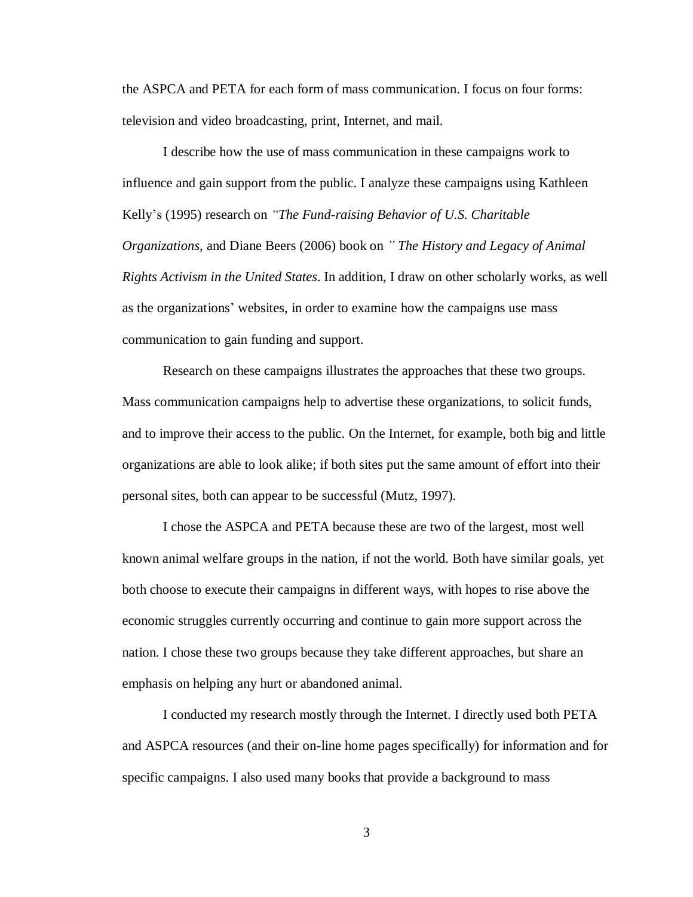the ASPCA and PETA for each form of mass communication. I focus on four forms: television and video broadcasting, print, Internet, and mail.

I describe how the use of mass communication in these campaigns work to influence and gain support from the public. I analyze these campaigns using Kathleen Kelly's (1995) research on *"The Fund-raising Behavior of U.S. Charitable Organizations,* and Diane Beers (2006) book on *" The History and Legacy of Animal Rights Activism in the United States*. In addition, I draw on other scholarly works, as well as the organizations' websites, in order to examine how the campaigns use mass communication to gain funding and support.

Research on these campaigns illustrates the approaches that these two groups. Mass communication campaigns help to advertise these organizations, to solicit funds, and to improve their access to the public. On the Internet, for example, both big and little organizations are able to look alike; if both sites put the same amount of effort into their personal sites, both can appear to be successful (Mutz, 1997).

I chose the ASPCA and PETA because these are two of the largest, most well known animal welfare groups in the nation, if not the world. Both have similar goals, yet both choose to execute their campaigns in different ways, with hopes to rise above the economic struggles currently occurring and continue to gain more support across the nation. I chose these two groups because they take different approaches, but share an emphasis on helping any hurt or abandoned animal.

I conducted my research mostly through the Internet. I directly used both PETA and ASPCA resources (and their on-line home pages specifically) for information and for specific campaigns. I also used many books that provide a background to mass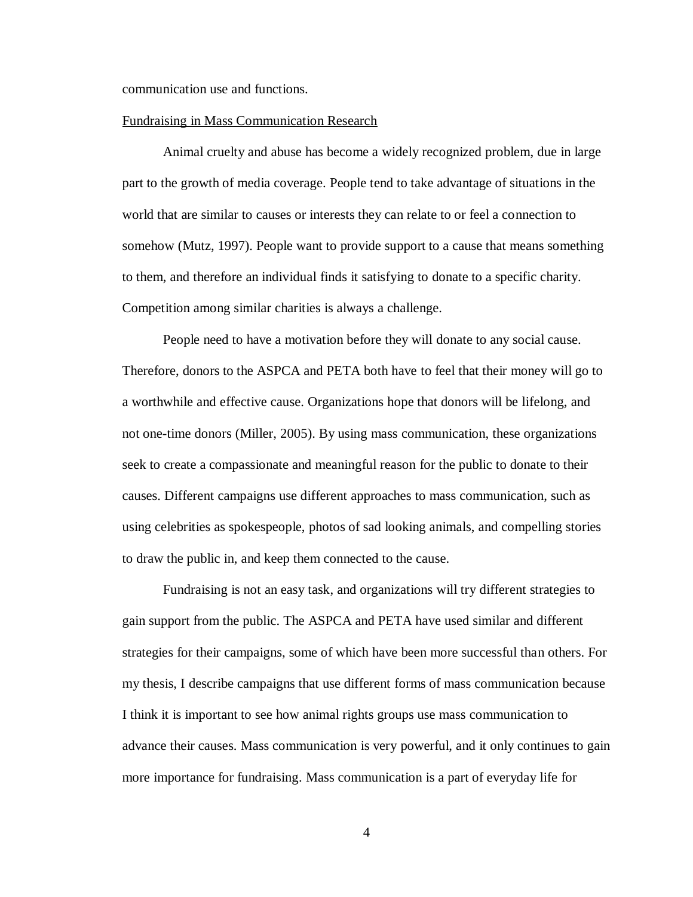communication use and functions.

#### Fundraising in Mass Communication Research

Animal cruelty and abuse has become a widely recognized problem, due in large part to the growth of media coverage. People tend to take advantage of situations in the world that are similar to causes or interests they can relate to or feel a connection to somehow (Mutz, 1997). People want to provide support to a cause that means something to them, and therefore an individual finds it satisfying to donate to a specific charity. Competition among similar charities is always a challenge.

People need to have a motivation before they will donate to any social cause. Therefore, donors to the ASPCA and PETA both have to feel that their money will go to a worthwhile and effective cause. Organizations hope that donors will be lifelong, and not one-time donors (Miller, 2005). By using mass communication, these organizations seek to create a compassionate and meaningful reason for the public to donate to their causes. Different campaigns use different approaches to mass communication, such as using celebrities as spokespeople, photos of sad looking animals, and compelling stories to draw the public in, and keep them connected to the cause.

Fundraising is not an easy task, and organizations will try different strategies to gain support from the public. The ASPCA and PETA have used similar and different strategies for their campaigns, some of which have been more successful than others. For my thesis, I describe campaigns that use different forms of mass communication because I think it is important to see how animal rights groups use mass communication to advance their causes. Mass communication is very powerful, and it only continues to gain more importance for fundraising. Mass communication is a part of everyday life for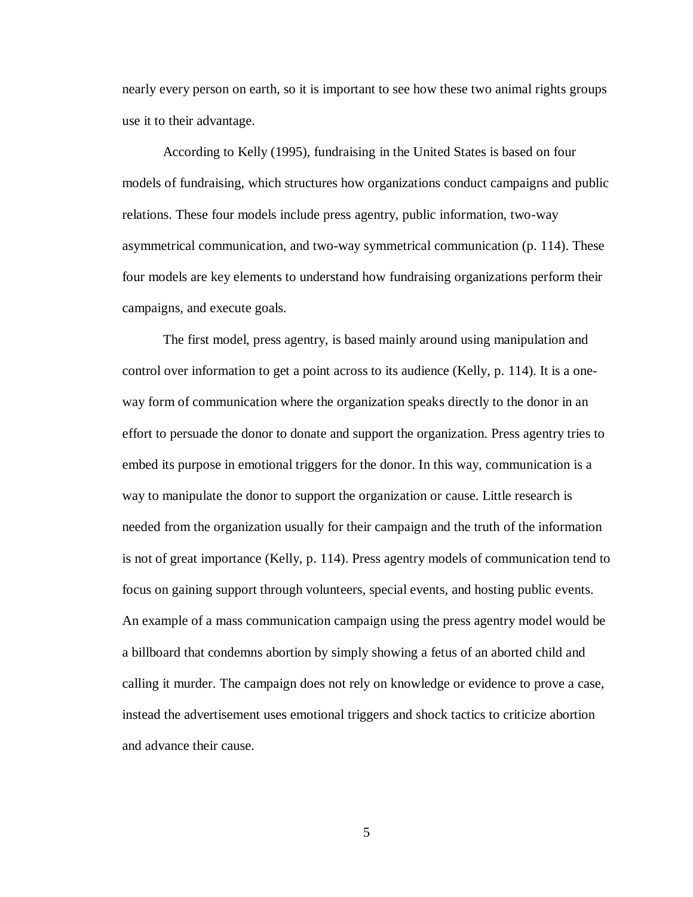nearly every person on earth, so it is important to see how these two animal rights groups use it to their advantage.

According to Kelly (1995), fundraising in the United States is based on four models of fundraising, which structures how organizations conduct campaigns and public relations. These four models include press agentry, public information, two-way asymmetrical communication, and two-way symmetrical communication (p. 114). These four models are key elements to understand how fundraising organizations perform their campaigns, and execute goals.

The first model, press agentry, is based mainly around using manipulation and control over information to get a point across to its audience (Kelly, p. 114). It is a oneway form of communication where the organization speaks directly to the donor in an effort to persuade the donor to donate and support the organization. Press agentry tries to embed its purpose in emotional triggers for the donor. In this way, communication is a way to manipulate the donor to support the organization or cause. Little research is needed from the organization usually for their campaign and the truth of the information is not of great importance (Kelly, p. 114). Press agentry models of communication tend to focus on gaining support through volunteers, special events, and hosting public events. An example of a mass communication campaign using the press agentry model would be a billboard that condemns abortion by simply showing a fetus of an aborted child and calling it murder. The campaign does not rely on knowledge or evidence to prove a case, instead the advertisement uses emotional triggers and shock tactics to criticize abortion and advance their cause.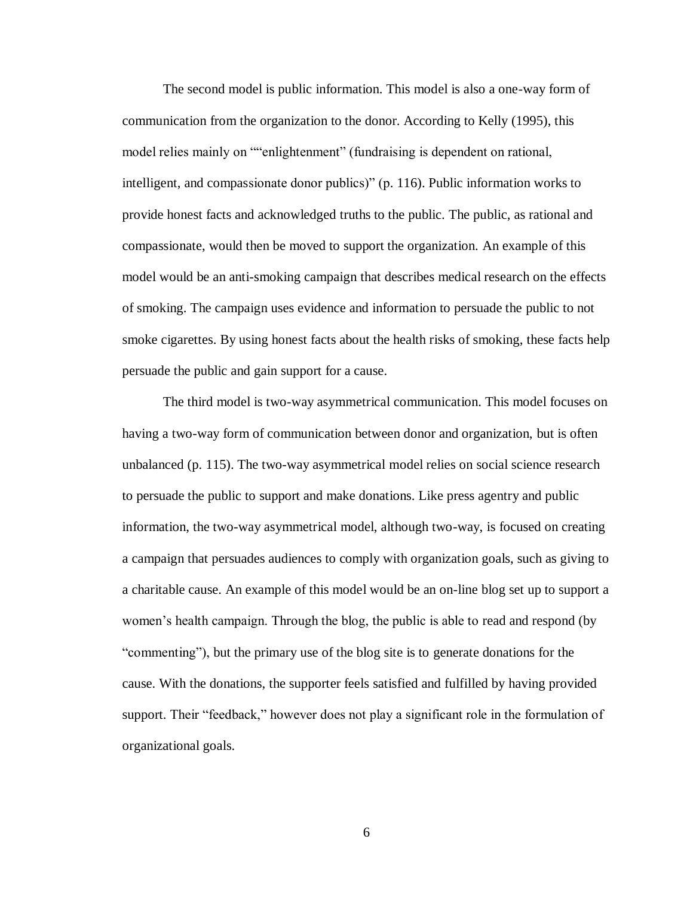The second model is public information. This model is also a one-way form of communication from the organization to the donor. According to Kelly (1995), this model relies mainly on ""enlightenment" (fundraising is dependent on rational, intelligent, and compassionate donor publics)" (p. 116). Public information works to provide honest facts and acknowledged truths to the public. The public, as rational and compassionate, would then be moved to support the organization. An example of this model would be an anti-smoking campaign that describes medical research on the effects of smoking. The campaign uses evidence and information to persuade the public to not smoke cigarettes. By using honest facts about the health risks of smoking, these facts help persuade the public and gain support for a cause.

The third model is two-way asymmetrical communication. This model focuses on having a two-way form of communication between donor and organization, but is often unbalanced (p. 115). The two-way asymmetrical model relies on social science research to persuade the public to support and make donations. Like press agentry and public information, the two-way asymmetrical model, although two-way, is focused on creating a campaign that persuades audiences to comply with organization goals, such as giving to a charitable cause. An example of this model would be an on-line blog set up to support a women's health campaign. Through the blog, the public is able to read and respond (by "commenting"), but the primary use of the blog site is to generate donations for the cause. With the donations, the supporter feels satisfied and fulfilled by having provided support. Their "feedback," however does not play a significant role in the formulation of organizational goals.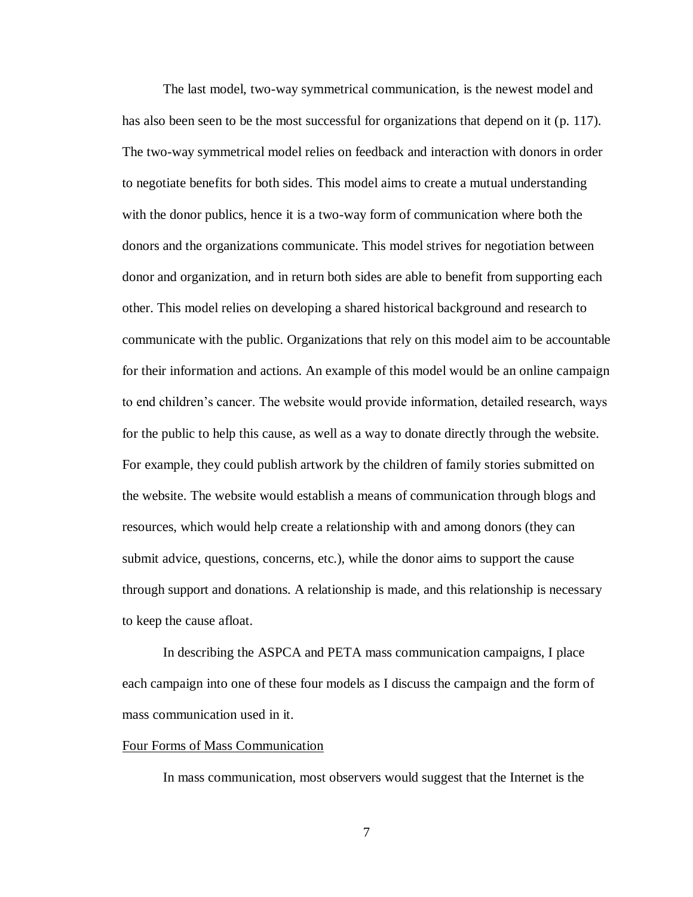The last model, two-way symmetrical communication, is the newest model and has also been seen to be the most successful for organizations that depend on it (p. 117). The two-way symmetrical model relies on feedback and interaction with donors in order to negotiate benefits for both sides. This model aims to create a mutual understanding with the donor publics, hence it is a two-way form of communication where both the donors and the organizations communicate. This model strives for negotiation between donor and organization, and in return both sides are able to benefit from supporting each other. This model relies on developing a shared historical background and research to communicate with the public. Organizations that rely on this model aim to be accountable for their information and actions. An example of this model would be an online campaign to end children's cancer. The website would provide information, detailed research, ways for the public to help this cause, as well as a way to donate directly through the website. For example, they could publish artwork by the children of family stories submitted on the website. The website would establish a means of communication through blogs and resources, which would help create a relationship with and among donors (they can submit advice, questions, concerns, etc.), while the donor aims to support the cause through support and donations. A relationship is made, and this relationship is necessary to keep the cause afloat.

In describing the ASPCA and PETA mass communication campaigns, I place each campaign into one of these four models as I discuss the campaign and the form of mass communication used in it.

#### Four Forms of Mass Communication

In mass communication, most observers would suggest that the Internet is the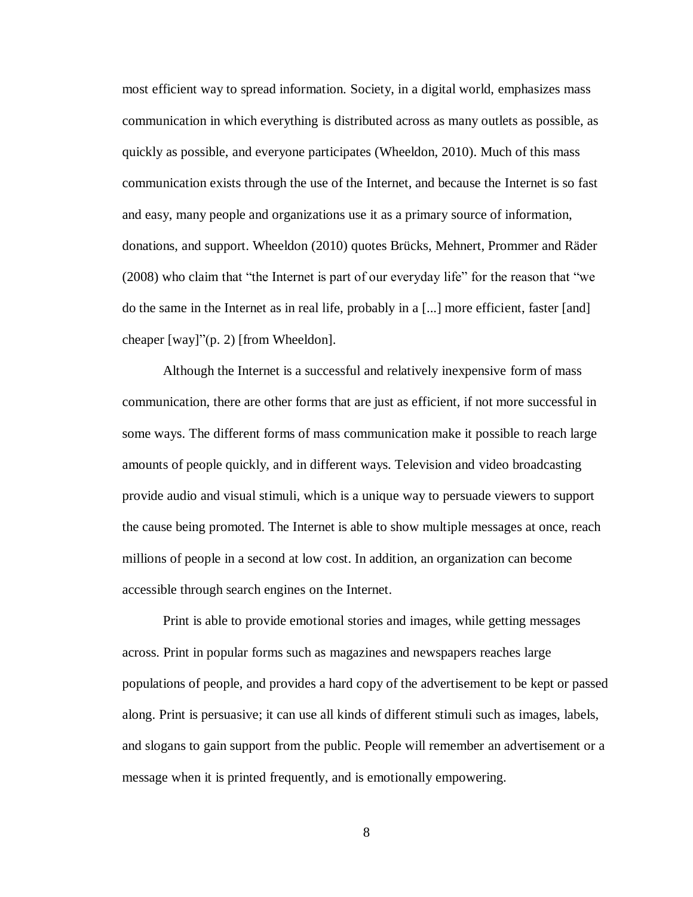most efficient way to spread information. Society, in a digital world, emphasizes mass communication in which everything is distributed across as many outlets as possible, as quickly as possible, and everyone participates (Wheeldon, 2010). Much of this mass communication exists through the use of the Internet, and because the Internet is so fast and easy, many people and organizations use it as a primary source of information, donations, and support. Wheeldon (2010) quotes Brücks, Mehnert, Prommer and Räder (2008) who claim that "the Internet is part of our everyday life" for the reason that "we do the same in the Internet as in real life, probably in a [...] more efficient, faster [and] cheaper [way]"(p. 2) [from Wheeldon].

Although the Internet is a successful and relatively inexpensive form of mass communication, there are other forms that are just as efficient, if not more successful in some ways. The different forms of mass communication make it possible to reach large amounts of people quickly, and in different ways. Television and video broadcasting provide audio and visual stimuli, which is a unique way to persuade viewers to support the cause being promoted. The Internet is able to show multiple messages at once, reach millions of people in a second at low cost. In addition, an organization can become accessible through search engines on the Internet.

Print is able to provide emotional stories and images, while getting messages across. Print in popular forms such as magazines and newspapers reaches large populations of people, and provides a hard copy of the advertisement to be kept or passed along. Print is persuasive; it can use all kinds of different stimuli such as images, labels, and slogans to gain support from the public. People will remember an advertisement or a message when it is printed frequently, and is emotionally empowering.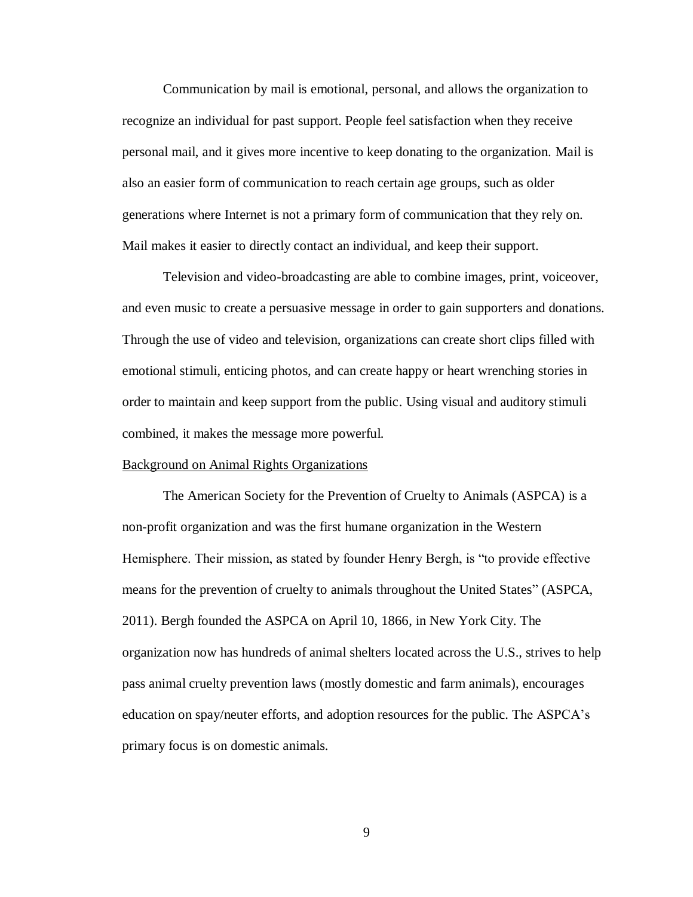Communication by mail is emotional, personal, and allows the organization to recognize an individual for past support. People feel satisfaction when they receive personal mail, and it gives more incentive to keep donating to the organization. Mail is also an easier form of communication to reach certain age groups, such as older generations where Internet is not a primary form of communication that they rely on. Mail makes it easier to directly contact an individual, and keep their support.

Television and video-broadcasting are able to combine images, print, voiceover, and even music to create a persuasive message in order to gain supporters and donations. Through the use of video and television, organizations can create short clips filled with emotional stimuli, enticing photos, and can create happy or heart wrenching stories in order to maintain and keep support from the public. Using visual and auditory stimuli combined, it makes the message more powerful.

#### Background on Animal Rights Organizations

The American Society for the Prevention of Cruelty to Animals (ASPCA) is a non-profit organization and was the first humane organization in the Western Hemisphere. Their mission, as stated by founder Henry Bergh, is "to provide effective means for the prevention of cruelty to animals throughout the United States" (ASPCA, 2011). Bergh founded the ASPCA on April 10, 1866, in New York City. The organization now has hundreds of animal shelters located across the U.S., strives to help pass animal cruelty prevention laws (mostly domestic and farm animals), encourages education on spay/neuter efforts, and adoption resources for the public. The ASPCA's primary focus is on domestic animals.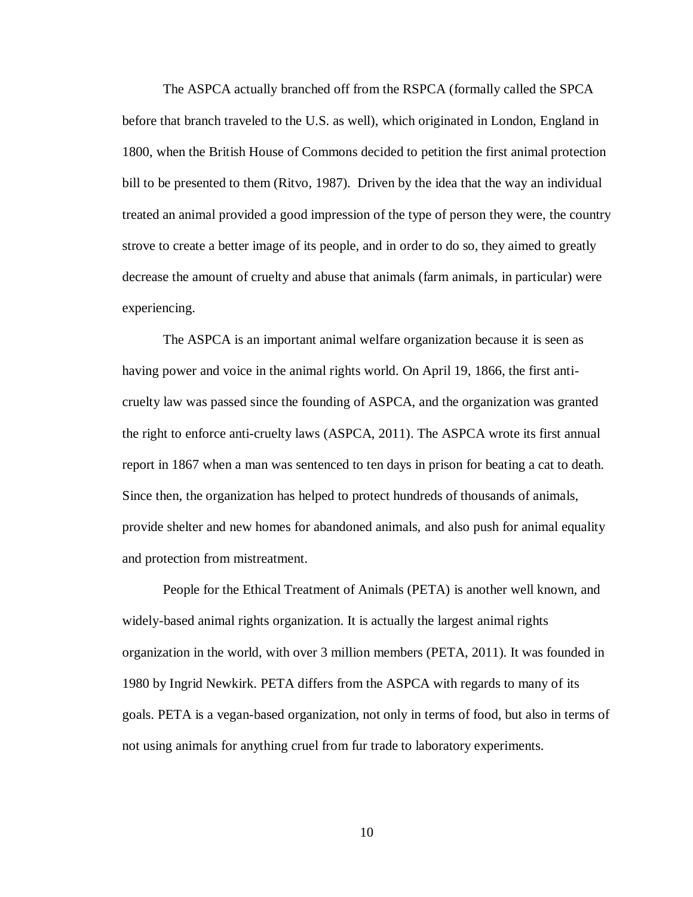The ASPCA actually branched off from the RSPCA (formally called the SPCA before that branch traveled to the U.S. as well), which originated in London, England in 1800, when the British House of Commons decided to petition the first animal protection bill to be presented to them (Ritvo, 1987). Driven by the idea that the way an individual treated an animal provided a good impression of the type of person they were, the country strove to create a better image of its people, and in order to do so, they aimed to greatly decrease the amount of cruelty and abuse that animals (farm animals, in particular) were experiencing.

The ASPCA is an important animal welfare organization because it is seen as having power and voice in the animal rights world. On April 19, 1866, the first anticruelty law was passed since the founding of ASPCA, and the organization was granted the right to enforce anti-cruelty laws (ASPCA, 2011). The ASPCA wrote its first annual report in 1867 when a man was sentenced to ten days in prison for beating a cat to death. Since then, the organization has helped to protect hundreds of thousands of animals, provide shelter and new homes for abandoned animals, and also push for animal equality and protection from mistreatment.

People for the Ethical Treatment of Animals (PETA) is another well known, and widely-based animal rights organization. It is actually the largest animal rights organization in the world, with over 3 million members (PETA, 2011). It was founded in 1980 by Ingrid Newkirk. PETA differs from the ASPCA with regards to many of its goals. PETA is a vegan-based organization, not only in terms of food, but also in terms of not using animals for anything cruel from fur trade to laboratory experiments.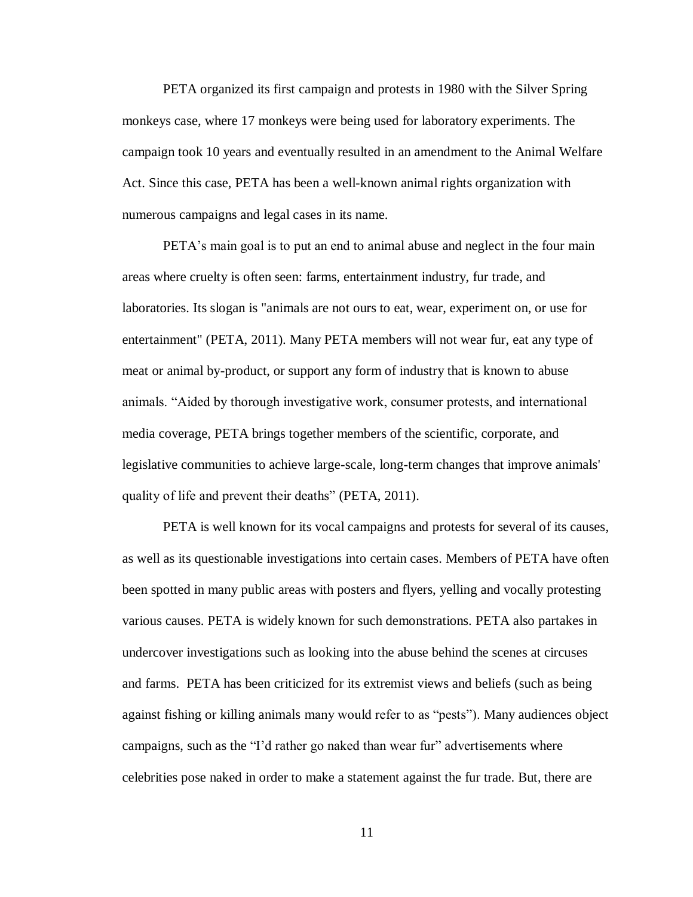PETA organized its first campaign and protests in 1980 with the Silver Spring monkeys case, where 17 monkeys were being used for laboratory experiments. The campaign took 10 years and eventually resulted in an amendment to the Animal Welfare Act. Since this case, PETA has been a well-known animal rights organization with numerous campaigns and legal cases in its name.

PETA's main goal is to put an end to animal abuse and neglect in the four main areas where cruelty is often seen: farms, entertainment industry, fur trade, and laboratories. Its slogan is "animals are not ours to eat, wear, experiment on, or use for entertainment" (PETA, 2011). Many PETA members will not wear fur, eat any type of meat or animal by-product, or support any form of industry that is known to abuse animals. "Aided by thorough investigative work, consumer protests, and international media coverage, PETA brings together members of the scientific, corporate, and legislative communities to achieve large-scale, long-term changes that improve animals' quality of life and prevent their deaths" (PETA, 2011).

PETA is well known for its vocal campaigns and protests for several of its causes, as well as its questionable investigations into certain cases. Members of PETA have often been spotted in many public areas with posters and flyers, yelling and vocally protesting various causes. PETA is widely known for such demonstrations. PETA also partakes in undercover investigations such as looking into the abuse behind the scenes at circuses and farms. PETA has been criticized for its extremist views and beliefs (such as being against fishing or killing animals many would refer to as "pests"). Many audiences object campaigns, such as the "I'd rather go naked than wear fur" advertisements where celebrities pose naked in order to make a statement against the fur trade. But, there are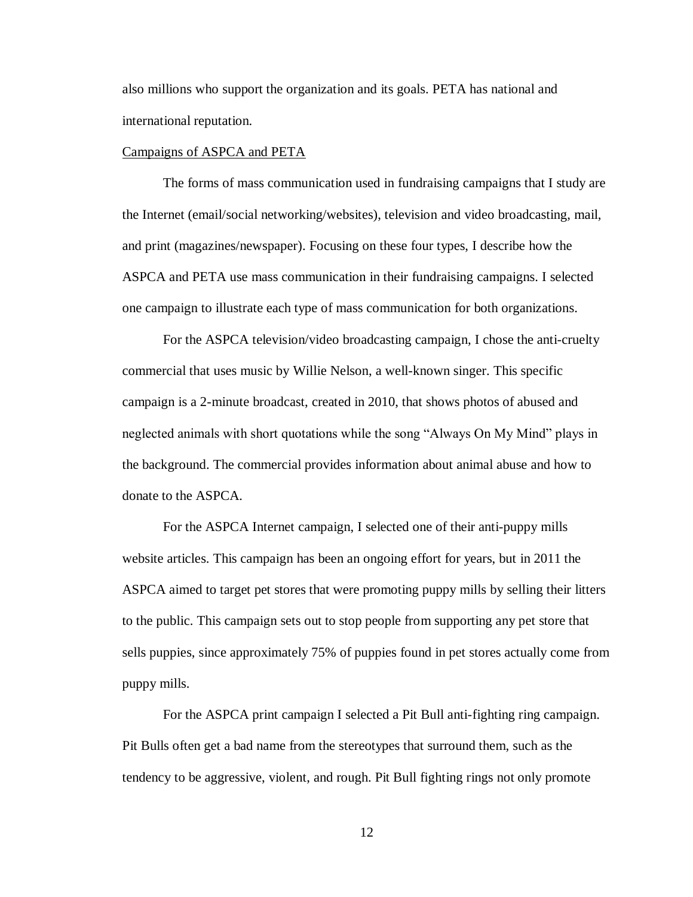also millions who support the organization and its goals. PETA has national and international reputation.

#### Campaigns of ASPCA and PETA

The forms of mass communication used in fundraising campaigns that I study are the Internet (email/social networking/websites), television and video broadcasting, mail, and print (magazines/newspaper). Focusing on these four types, I describe how the ASPCA and PETA use mass communication in their fundraising campaigns. I selected one campaign to illustrate each type of mass communication for both organizations.

For the ASPCA television/video broadcasting campaign, I chose the anti-cruelty commercial that uses music by Willie Nelson, a well-known singer. This specific campaign is a 2-minute broadcast, created in 2010, that shows photos of abused and neglected animals with short quotations while the song "Always On My Mind" plays in the background. The commercial provides information about animal abuse and how to donate to the ASPCA.

For the ASPCA Internet campaign, I selected one of their anti-puppy mills website articles. This campaign has been an ongoing effort for years, but in 2011 the ASPCA aimed to target pet stores that were promoting puppy mills by selling their litters to the public. This campaign sets out to stop people from supporting any pet store that sells puppies, since approximately 75% of puppies found in pet stores actually come from puppy mills.

For the ASPCA print campaign I selected a Pit Bull anti-fighting ring campaign. Pit Bulls often get a bad name from the stereotypes that surround them, such as the tendency to be aggressive, violent, and rough. Pit Bull fighting rings not only promote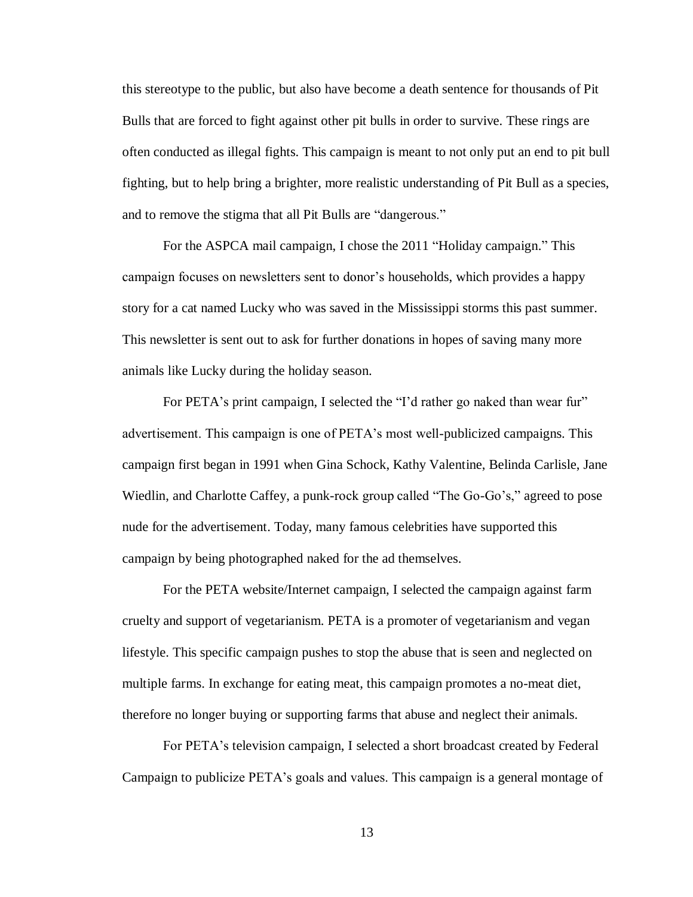this stereotype to the public, but also have become a death sentence for thousands of Pit Bulls that are forced to fight against other pit bulls in order to survive. These rings are often conducted as illegal fights. This campaign is meant to not only put an end to pit bull fighting, but to help bring a brighter, more realistic understanding of Pit Bull as a species, and to remove the stigma that all Pit Bulls are "dangerous."

For the ASPCA mail campaign, I chose the 2011 "Holiday campaign." This campaign focuses on newsletters sent to donor's households, which provides a happy story for a cat named Lucky who was saved in the Mississippi storms this past summer. This newsletter is sent out to ask for further donations in hopes of saving many more animals like Lucky during the holiday season.

For PETA's print campaign, I selected the "I'd rather go naked than wear fur" advertisement. This campaign is one of PETA's most well-publicized campaigns. This campaign first began in 1991 when Gina Schock, Kathy Valentine, Belinda Carlisle, Jane Wiedlin, and Charlotte Caffey, a punk-rock group called "The Go-Go's," agreed to pose nude for the advertisement. Today, many famous celebrities have supported this campaign by being photographed naked for the ad themselves.

For the PETA website/Internet campaign, I selected the campaign against farm cruelty and support of vegetarianism. PETA is a promoter of vegetarianism and vegan lifestyle. This specific campaign pushes to stop the abuse that is seen and neglected on multiple farms. In exchange for eating meat, this campaign promotes a no-meat diet, therefore no longer buying or supporting farms that abuse and neglect their animals.

For PETA's television campaign, I selected a short broadcast created by Federal Campaign to publicize PETA's goals and values. This campaign is a general montage of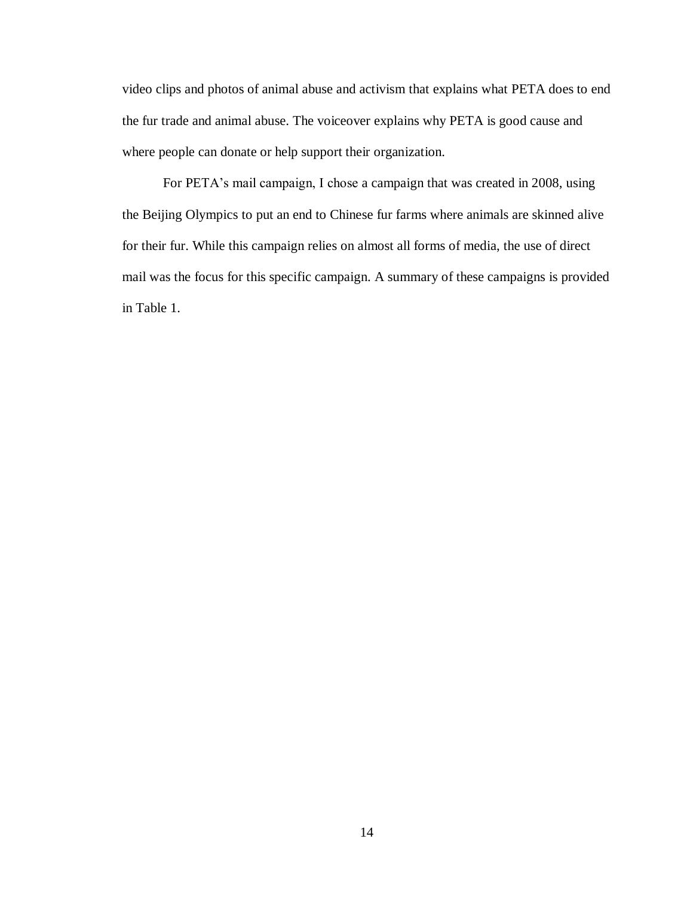video clips and photos of animal abuse and activism that explains what PETA does to end the fur trade and animal abuse. The voiceover explains why PETA is good cause and where people can donate or help support their organization.

For PETA's mail campaign, I chose a campaign that was created in 2008, using the Beijing Olympics to put an end to Chinese fur farms where animals are skinned alive for their fur. While this campaign relies on almost all forms of media, the use of direct mail was the focus for this specific campaign. A summary of these campaigns is provided in Table 1.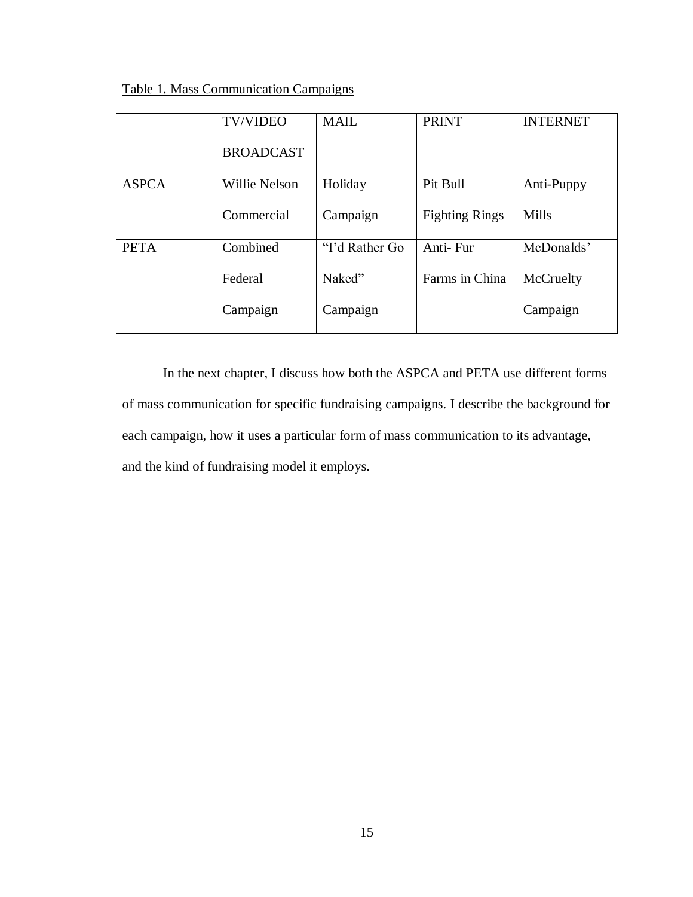Table 1. Mass Communication Campaigns

|              | <b>TV/VIDEO</b>      | <b>MAIL</b>    | <b>PRINT</b>          | <b>INTERNET</b> |
|--------------|----------------------|----------------|-----------------------|-----------------|
|              | <b>BROADCAST</b>     |                |                       |                 |
| <b>ASPCA</b> | <b>Willie Nelson</b> | Holiday        | Pit Bull              | Anti-Puppy      |
|              | Commercial           | Campaign       | <b>Fighting Rings</b> | Mills           |
| <b>PETA</b>  | Combined             | "I'd Rather Go | Anti-Fur              | McDonalds'      |
|              | Federal              | Naked"         | Farms in China        | McCruelty       |
|              | Campaign             | Campaign       |                       | Campaign        |

In the next chapter, I discuss how both the ASPCA and PETA use different forms of mass communication for specific fundraising campaigns. I describe the background for each campaign, how it uses a particular form of mass communication to its advantage, and the kind of fundraising model it employs.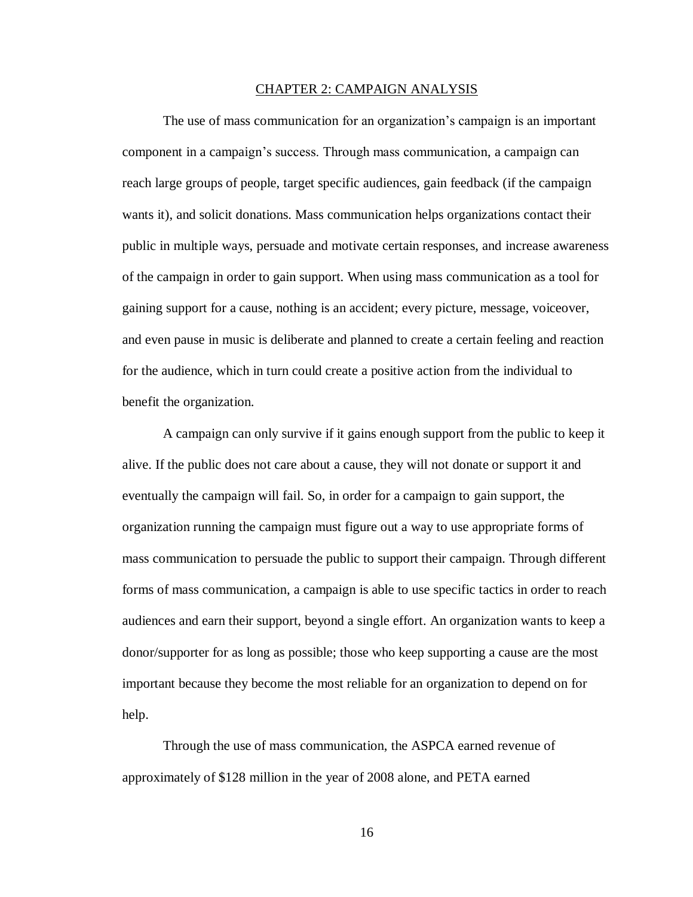#### CHAPTER 2: CAMPAIGN ANALYSIS

The use of mass communication for an organization's campaign is an important component in a campaign's success. Through mass communication, a campaign can reach large groups of people, target specific audiences, gain feedback (if the campaign wants it), and solicit donations. Mass communication helps organizations contact their public in multiple ways, persuade and motivate certain responses, and increase awareness of the campaign in order to gain support. When using mass communication as a tool for gaining support for a cause, nothing is an accident; every picture, message, voiceover, and even pause in music is deliberate and planned to create a certain feeling and reaction for the audience, which in turn could create a positive action from the individual to benefit the organization.

A campaign can only survive if it gains enough support from the public to keep it alive. If the public does not care about a cause, they will not donate or support it and eventually the campaign will fail. So, in order for a campaign to gain support, the organization running the campaign must figure out a way to use appropriate forms of mass communication to persuade the public to support their campaign. Through different forms of mass communication, a campaign is able to use specific tactics in order to reach audiences and earn their support, beyond a single effort. An organization wants to keep a donor/supporter for as long as possible; those who keep supporting a cause are the most important because they become the most reliable for an organization to depend on for help.

Through the use of mass communication, the ASPCA earned revenue of approximately of \$128 million in the year of 2008 alone, and PETA earned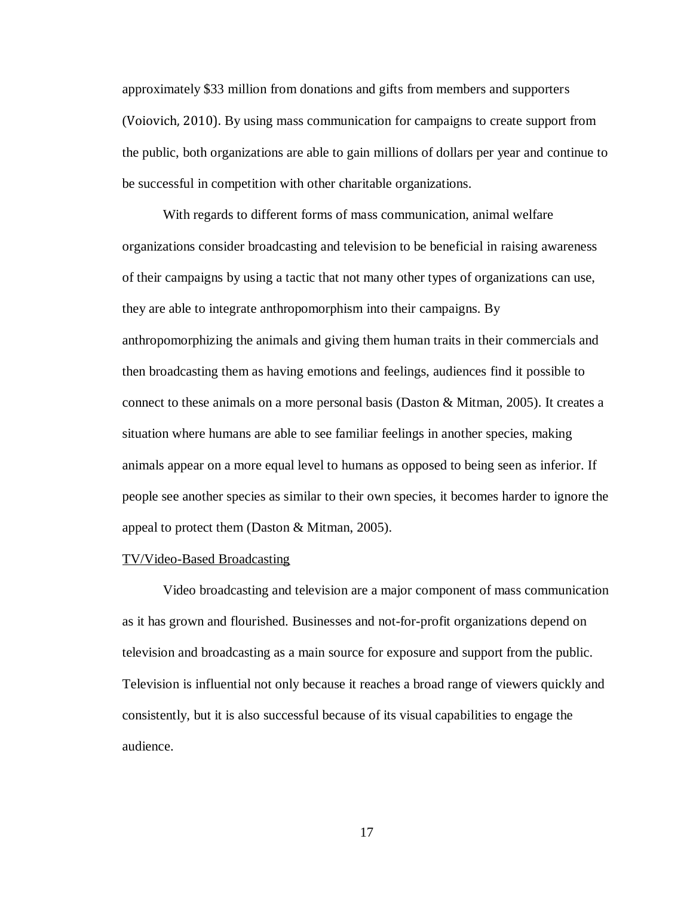approximately \$33 million from donations and gifts from members and supporters (Voiovich, 2010). By using mass communication for campaigns to create support from the public, both organizations are able to gain millions of dollars per year and continue to be successful in competition with other charitable organizations.

With regards to different forms of mass communication, animal welfare organizations consider broadcasting and television to be beneficial in raising awareness of their campaigns by using a tactic that not many other types of organizations can use, they are able to integrate anthropomorphism into their campaigns. By anthropomorphizing the animals and giving them human traits in their commercials and then broadcasting them as having emotions and feelings, audiences find it possible to connect to these animals on a more personal basis (Daston & Mitman, 2005). It creates a situation where humans are able to see familiar feelings in another species, making animals appear on a more equal level to humans as opposed to being seen as inferior. If people see another species as similar to their own species, it becomes harder to ignore the appeal to protect them (Daston & Mitman, 2005).

#### TV/Video-Based Broadcasting

Video broadcasting and television are a major component of mass communication as it has grown and flourished. Businesses and not-for-profit organizations depend on television and broadcasting as a main source for exposure and support from the public. Television is influential not only because it reaches a broad range of viewers quickly and consistently, but it is also successful because of its visual capabilities to engage the audience.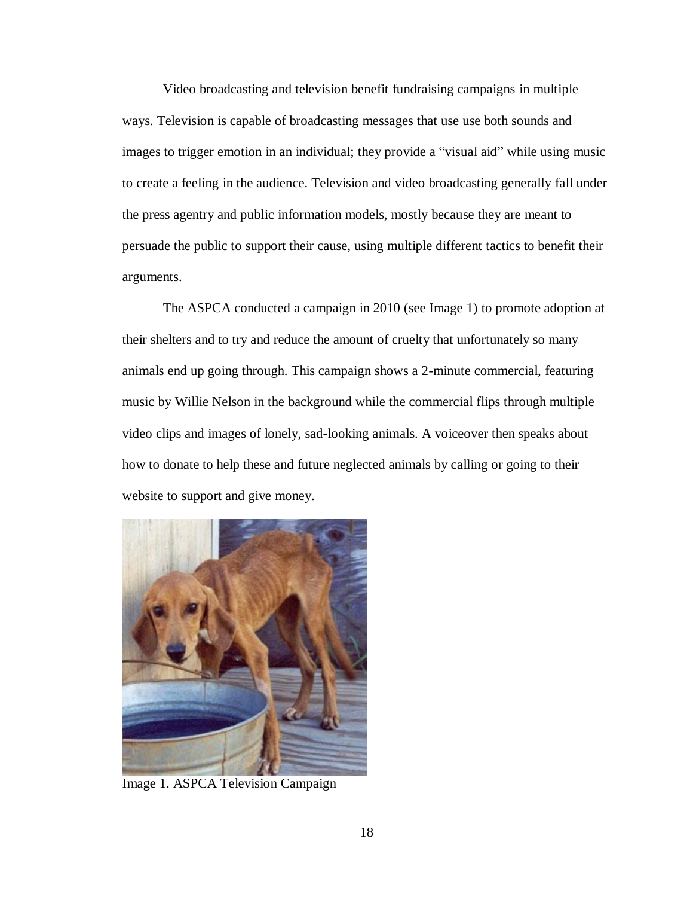Video broadcasting and television benefit fundraising campaigns in multiple ways. Television is capable of broadcasting messages that use use both sounds and images to trigger emotion in an individual; they provide a "visual aid" while using music to create a feeling in the audience. Television and video broadcasting generally fall under the press agentry and public information models, mostly because they are meant to persuade the public to support their cause, using multiple different tactics to benefit their arguments.

The ASPCA conducted a campaign in 2010 (see Image 1) to promote adoption at their shelters and to try and reduce the amount of cruelty that unfortunately so many animals end up going through. This campaign shows a 2-minute commercial, featuring music by Willie Nelson in the background while the commercial flips through multiple video clips and images of lonely, sad-looking animals. A voiceover then speaks about how to donate to help these and future neglected animals by calling or going to their website to support and give money.



Image 1. ASPCA Television Campaign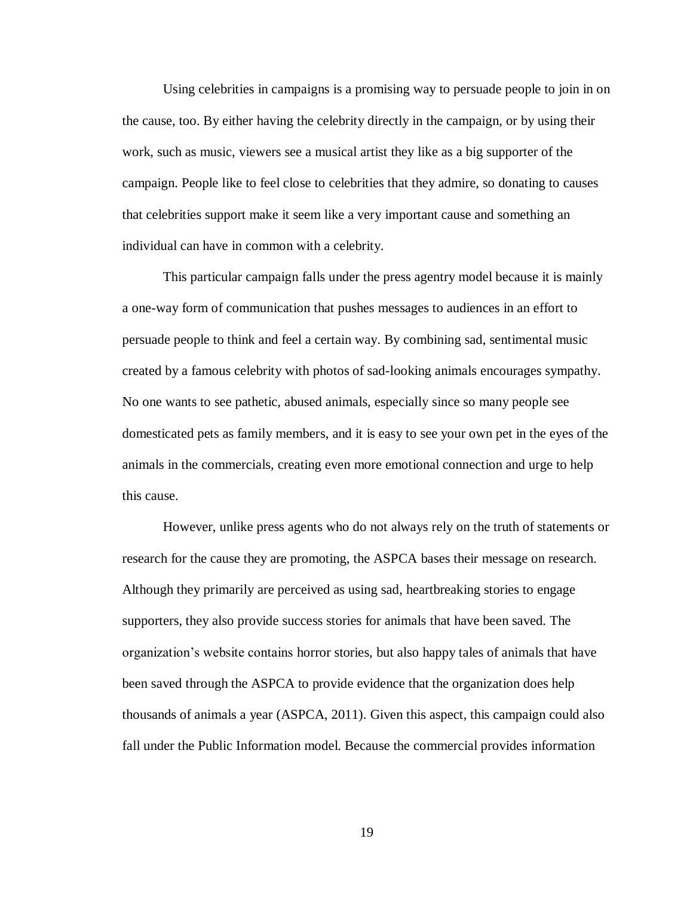Using celebrities in campaigns is a promising way to persuade people to join in on the cause, too. By either having the celebrity directly in the campaign, or by using their work, such as music, viewers see a musical artist they like as a big supporter of the campaign. People like to feel close to celebrities that they admire, so donating to causes that celebrities support make it seem like a very important cause and something an individual can have in common with a celebrity.

This particular campaign falls under the press agentry model because it is mainly a one-way form of communication that pushes messages to audiences in an effort to persuade people to think and feel a certain way. By combining sad, sentimental music created by a famous celebrity with photos of sad-looking animals encourages sympathy. No one wants to see pathetic, abused animals, especially since so many people see domesticated pets as family members, and it is easy to see your own pet in the eyes of the animals in the commercials, creating even more emotional connection and urge to help this cause.

However, unlike press agents who do not always rely on the truth of statements or research for the cause they are promoting, the ASPCA bases their message on research. Although they primarily are perceived as using sad, heartbreaking stories to engage supporters, they also provide success stories for animals that have been saved. The organization's website contains horror stories, but also happy tales of animals that have been saved through the ASPCA to provide evidence that the organization does help thousands of animals a year (ASPCA, 2011). Given this aspect, this campaign could also fall under the Public Information model. Because the commercial provides information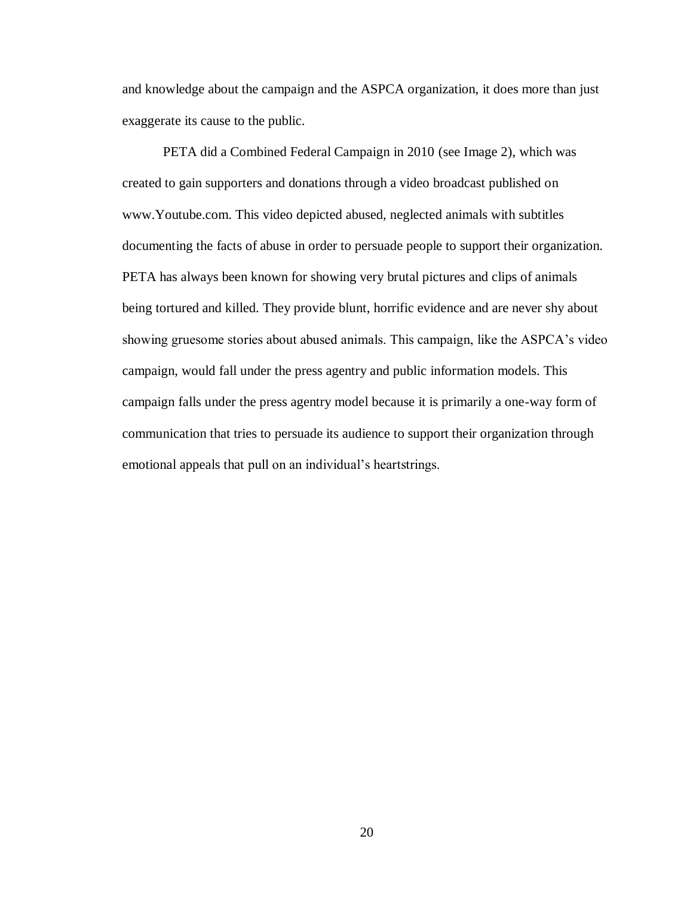and knowledge about the campaign and the ASPCA organization, it does more than just exaggerate its cause to the public.

PETA did a Combined Federal Campaign in 2010 (see Image 2), which was created to gain supporters and donations through a video broadcast published on www.Youtube.com. This video depicted abused, neglected animals with subtitles documenting the facts of abuse in order to persuade people to support their organization. PETA has always been known for showing very brutal pictures and clips of animals being tortured and killed. They provide blunt, horrific evidence and are never shy about showing gruesome stories about abused animals. This campaign, like the ASPCA's video campaign, would fall under the press agentry and public information models. This campaign falls under the press agentry model because it is primarily a one-way form of communication that tries to persuade its audience to support their organization through emotional appeals that pull on an individual's heartstrings.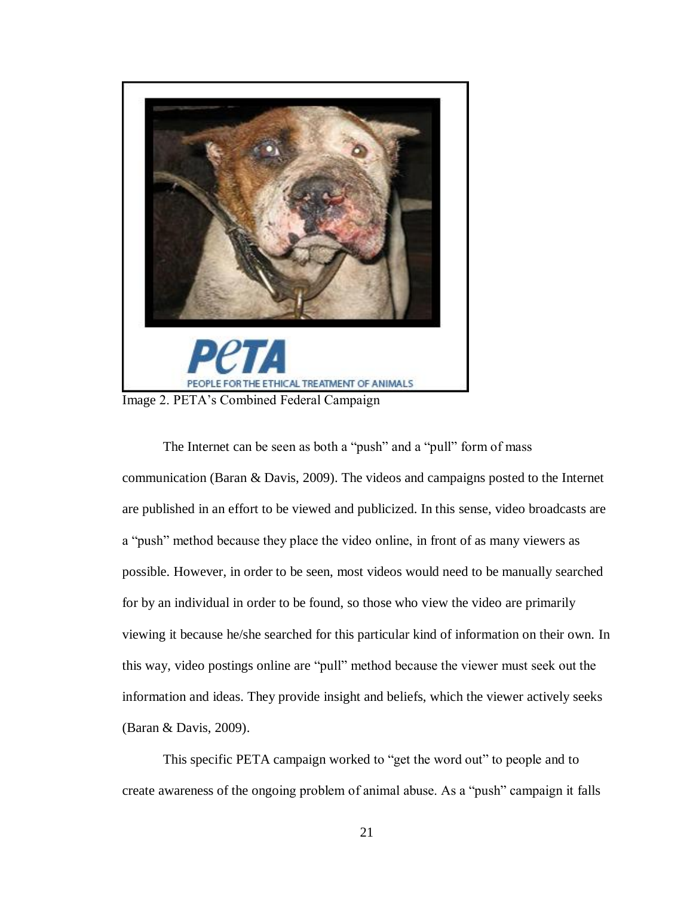

The Internet can be seen as both a "push" and a "pull" form of mass communication (Baran & Davis, 2009). The videos and campaigns posted to the Internet are published in an effort to be viewed and publicized. In this sense, video broadcasts are a "push" method because they place the video online, in front of as many viewers as possible. However, in order to be seen, most videos would need to be manually searched for by an individual in order to be found, so those who view the video are primarily viewing it because he/she searched for this particular kind of information on their own. In this way, video postings online are "pull" method because the viewer must seek out the information and ideas. They provide insight and beliefs, which the viewer actively seeks (Baran & Davis, 2009).

This specific PETA campaign worked to "get the word out" to people and to create awareness of the ongoing problem of animal abuse. As a "push" campaign it falls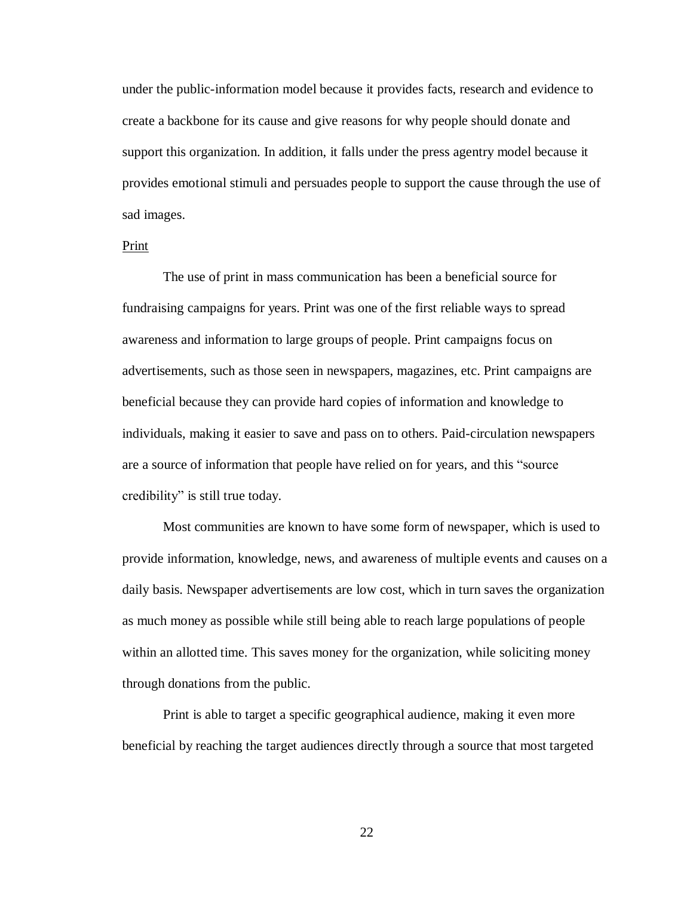under the public-information model because it provides facts, research and evidence to create a backbone for its cause and give reasons for why people should donate and support this organization. In addition, it falls under the press agentry model because it provides emotional stimuli and persuades people to support the cause through the use of sad images.

#### Print

The use of print in mass communication has been a beneficial source for fundraising campaigns for years. Print was one of the first reliable ways to spread awareness and information to large groups of people. Print campaigns focus on advertisements, such as those seen in newspapers, magazines, etc. Print campaigns are beneficial because they can provide hard copies of information and knowledge to individuals, making it easier to save and pass on to others. Paid-circulation newspapers are a source of information that people have relied on for years, and this "source credibility" is still true today.

Most communities are known to have some form of newspaper, which is used to provide information, knowledge, news, and awareness of multiple events and causes on a daily basis. Newspaper advertisements are low cost, which in turn saves the organization as much money as possible while still being able to reach large populations of people within an allotted time. This saves money for the organization, while soliciting money through donations from the public.

Print is able to target a specific geographical audience, making it even more beneficial by reaching the target audiences directly through a source that most targeted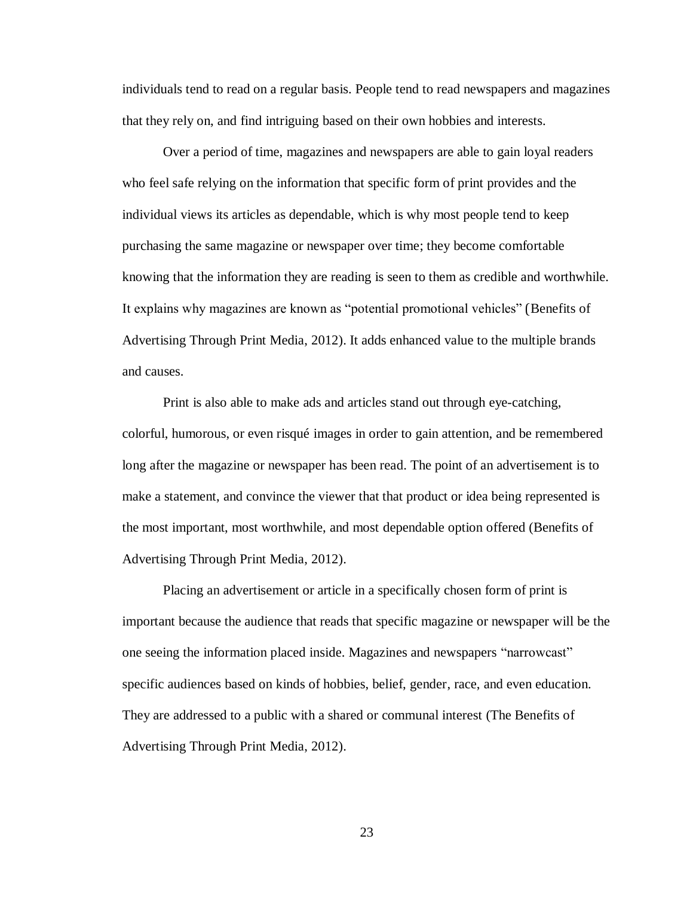individuals tend to read on a regular basis. People tend to read newspapers and magazines that they rely on, and find intriguing based on their own hobbies and interests.

Over a period of time, magazines and newspapers are able to gain loyal readers who feel safe relying on the information that specific form of print provides and the individual views its articles as dependable, which is why most people tend to keep purchasing the same magazine or newspaper over time; they become comfortable knowing that the information they are reading is seen to them as credible and worthwhile. It explains why magazines are known as "potential promotional vehicles" (Benefits of Advertising Through Print Media, 2012). It adds enhanced value to the multiple brands and causes.

Print is also able to make ads and articles stand out through eye-catching, colorful, humorous, or even risqué images in order to gain attention, and be remembered long after the magazine or newspaper has been read. The point of an advertisement is to make a statement, and convince the viewer that that product or idea being represented is the most important, most worthwhile, and most dependable option offered (Benefits of Advertising Through Print Media, 2012).

Placing an advertisement or article in a specifically chosen form of print is important because the audience that reads that specific magazine or newspaper will be the one seeing the information placed inside. Magazines and newspapers "narrowcast" specific audiences based on kinds of hobbies, belief, gender, race, and even education. They are addressed to a public with a shared or communal interest (The Benefits of Advertising Through Print Media, 2012).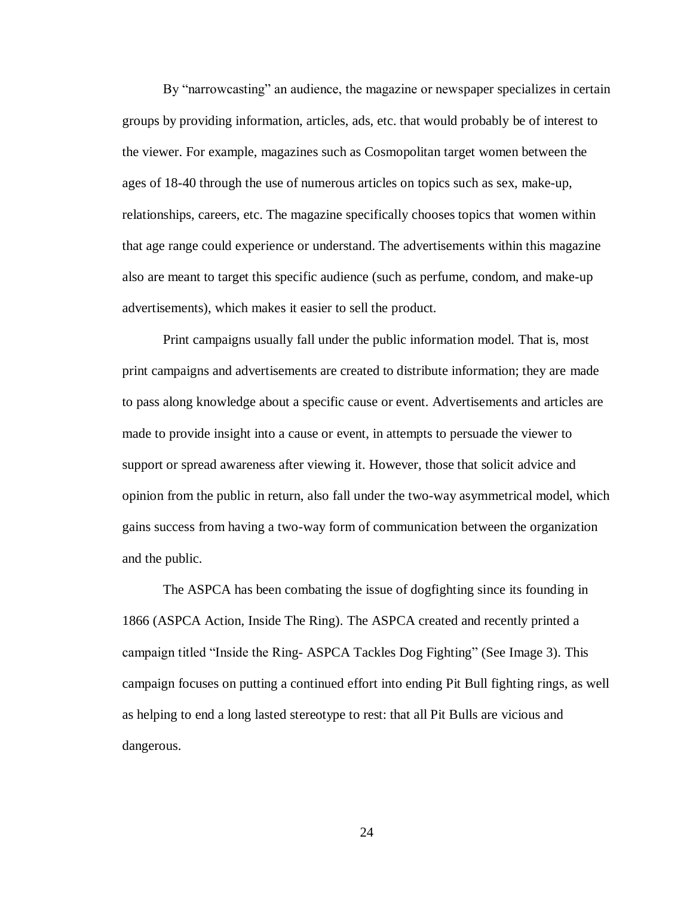By "narrowcasting" an audience, the magazine or newspaper specializes in certain groups by providing information, articles, ads, etc. that would probably be of interest to the viewer. For example, magazines such as Cosmopolitan target women between the ages of 18-40 through the use of numerous articles on topics such as sex, make-up, relationships, careers, etc. The magazine specifically chooses topics that women within that age range could experience or understand. The advertisements within this magazine also are meant to target this specific audience (such as perfume, condom, and make-up advertisements), which makes it easier to sell the product.

Print campaigns usually fall under the public information model. That is, most print campaigns and advertisements are created to distribute information; they are made to pass along knowledge about a specific cause or event. Advertisements and articles are made to provide insight into a cause or event, in attempts to persuade the viewer to support or spread awareness after viewing it. However, those that solicit advice and opinion from the public in return, also fall under the two-way asymmetrical model, which gains success from having a two-way form of communication between the organization and the public.

The ASPCA has been combating the issue of dogfighting since its founding in 1866 (ASPCA Action, Inside The Ring). The ASPCA created and recently printed a campaign titled "Inside the Ring- ASPCA Tackles Dog Fighting" (See Image 3). This campaign focuses on putting a continued effort into ending Pit Bull fighting rings, as well as helping to end a long lasted stereotype to rest: that all Pit Bulls are vicious and dangerous.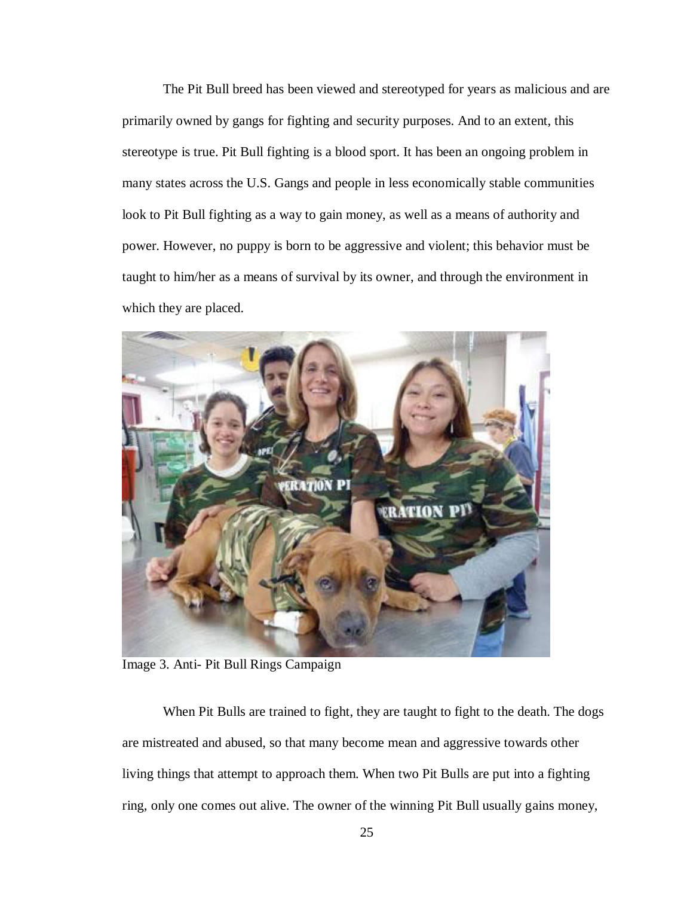The Pit Bull breed has been viewed and stereotyped for years as malicious and are primarily owned by gangs for fighting and security purposes. And to an extent, this stereotype is true. Pit Bull fighting is a blood sport. It has been an ongoing problem in many states across the U.S. Gangs and people in less economically stable communities look to Pit Bull fighting as a way to gain money, as well as a means of authority and power. However, no puppy is born to be aggressive and violent; this behavior must be taught to him/her as a means of survival by its owner, and through the environment in which they are placed.



Image 3. Anti- Pit Bull Rings Campaign

When Pit Bulls are trained to fight, they are taught to fight to the death. The dogs are mistreated and abused, so that many become mean and aggressive towards other living things that attempt to approach them. When two Pit Bulls are put into a fighting ring, only one comes out alive. The owner of the winning Pit Bull usually gains money,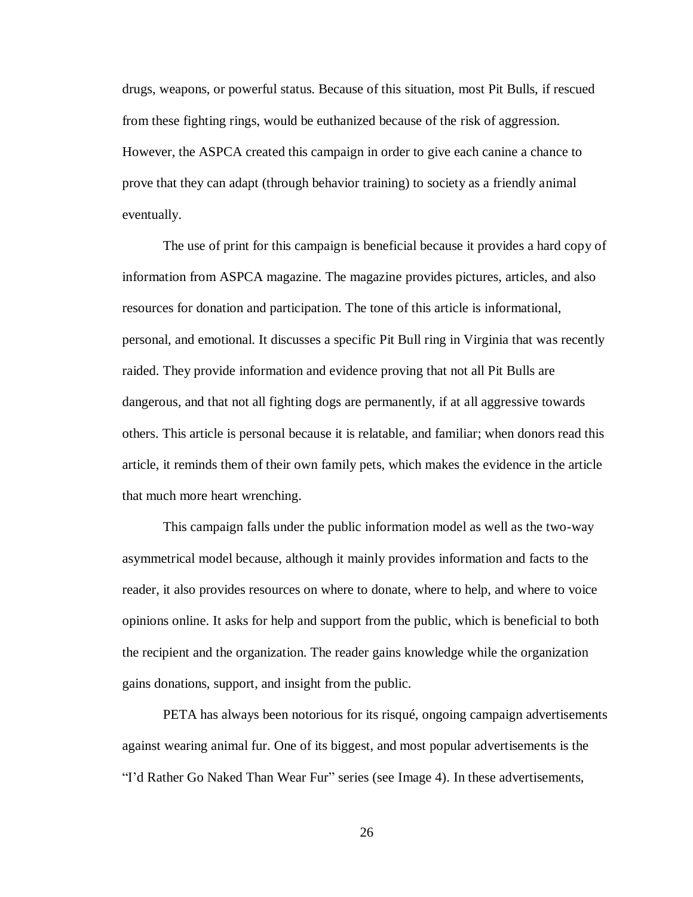drugs, weapons, or powerful status. Because of this situation, most Pit Bulls, if rescued from these fighting rings, would be euthanized because of the risk of aggression. However, the ASPCA created this campaign in order to give each canine a chance to prove that they can adapt (through behavior training) to society as a friendly animal eventually.

The use of print for this campaign is beneficial because it provides a hard copy of information from ASPCA magazine. The magazine provides pictures, articles, and also resources for donation and participation. The tone of this article is informational, personal, and emotional. It discusses a specific Pit Bull ring in Virginia that was recently raided. They provide information and evidence proving that not all Pit Bulls are dangerous, and that not all fighting dogs are permanently, if at all aggressive towards others. This article is personal because it is relatable, and familiar; when donors read this article, it reminds them of their own family pets, which makes the evidence in the article that much more heart wrenching.

This campaign falls under the public information model as well as the two-way asymmetrical model because, although it mainly provides information and facts to the reader, it also provides resources on where to donate, where to help, and where to voice opinions online. It asks for help and support from the public, which is beneficial to both the recipient and the organization. The reader gains knowledge while the organization gains donations, support, and insight from the public.

PETA has always been notorious for its risqué, ongoing campaign advertisements against wearing animal fur. One of its biggest, and most popular advertisements is the "I'd Rather Go Naked Than Wear Fur" series (see Image 4). In these advertisements,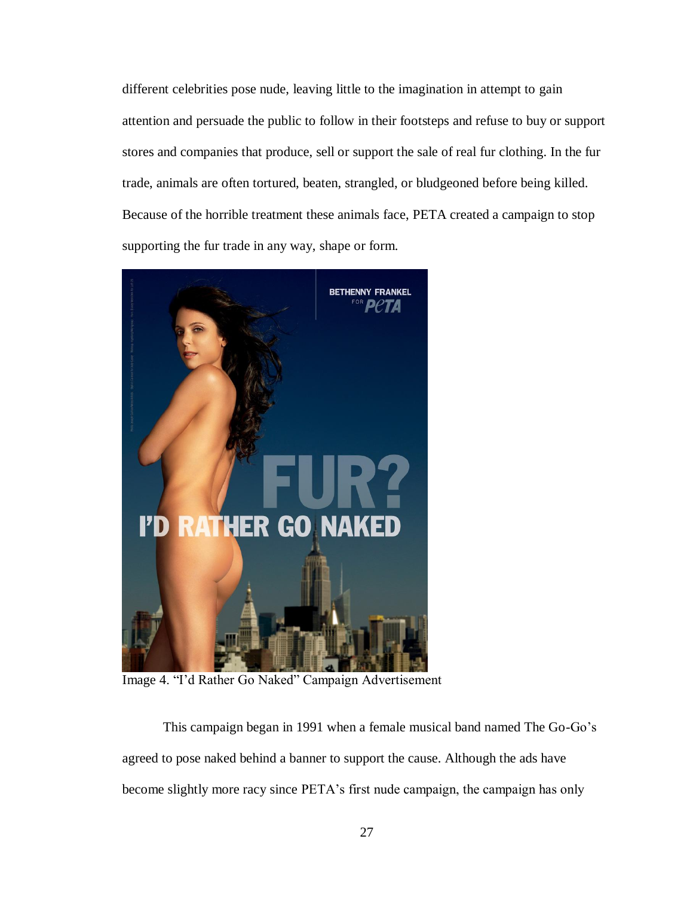different celebrities pose nude, leaving little to the imagination in attempt to gain attention and persuade the public to follow in their footsteps and refuse to buy or support stores and companies that produce, sell or support the sale of real fur clothing. In the fur trade, animals are often tortured, beaten, strangled, or bludgeoned before being killed. Because of the horrible treatment these animals face, PETA created a campaign to stop supporting the fur trade in any way, shape or form.



Image 4. "I'd Rather Go Naked" Campaign Advertisement

This campaign began in 1991 when a female musical band named The Go-Go's agreed to pose naked behind a banner to support the cause. Although the ads have become slightly more racy since PETA's first nude campaign, the campaign has only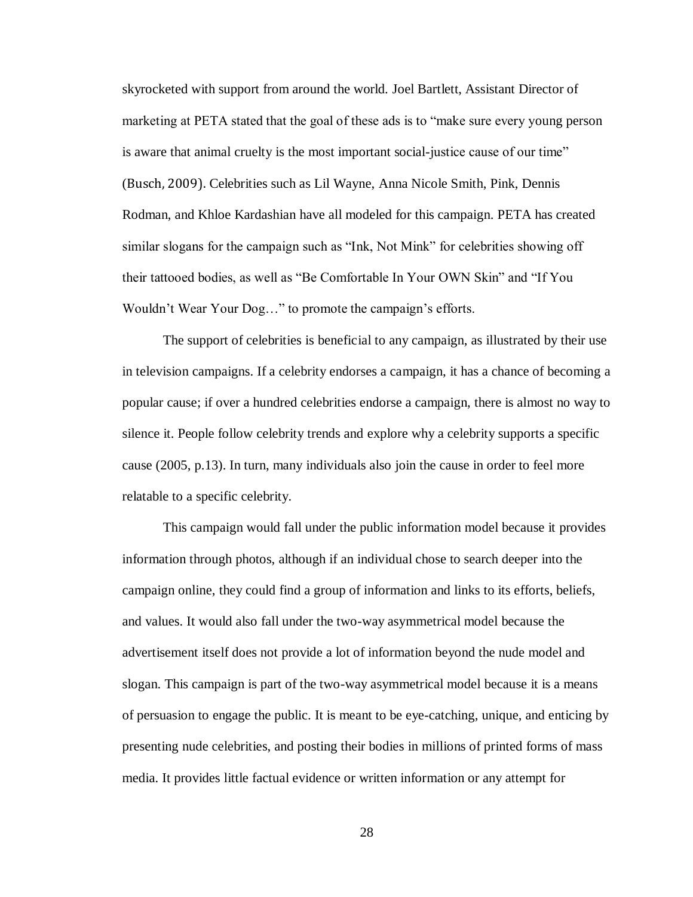skyrocketed with support from around the world. Joel Bartlett, Assistant Director of marketing at PETA stated that the goal of these ads is to "make sure every young person is aware that animal cruelty is the most important social-justice cause of our time" (Busch, 2009). Celebrities such as Lil Wayne, Anna Nicole Smith, Pink, Dennis Rodman, and Khloe Kardashian have all modeled for this campaign. PETA has created similar slogans for the campaign such as "Ink, Not Mink" for celebrities showing off their tattooed bodies, as well as "Be Comfortable In Your OWN Skin" and "If You Wouldn't Wear Your Dog…" to promote the campaign's efforts.

The support of celebrities is beneficial to any campaign, as illustrated by their use in television campaigns. If a celebrity endorses a campaign, it has a chance of becoming a popular cause; if over a hundred celebrities endorse a campaign, there is almost no way to silence it. People follow celebrity trends and explore why a celebrity supports a specific cause (2005, p.13). In turn, many individuals also join the cause in order to feel more relatable to a specific celebrity.

This campaign would fall under the public information model because it provides information through photos, although if an individual chose to search deeper into the campaign online, they could find a group of information and links to its efforts, beliefs, and values. It would also fall under the two-way asymmetrical model because the advertisement itself does not provide a lot of information beyond the nude model and slogan. This campaign is part of the two-way asymmetrical model because it is a means of persuasion to engage the public. It is meant to be eye-catching, unique, and enticing by presenting nude celebrities, and posting their bodies in millions of printed forms of mass media. It provides little factual evidence or written information or any attempt for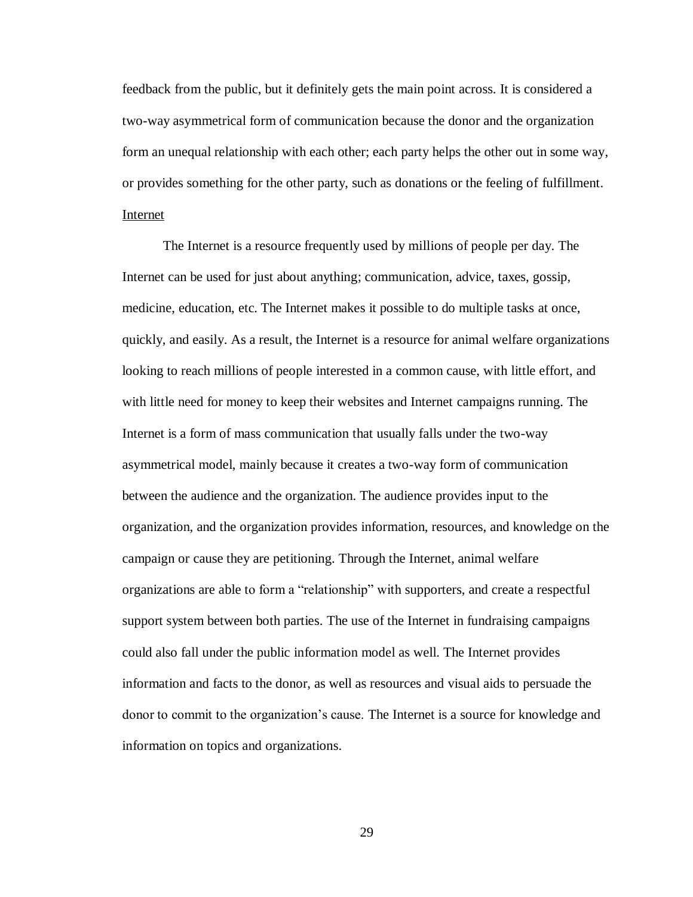feedback from the public, but it definitely gets the main point across. It is considered a two-way asymmetrical form of communication because the donor and the organization form an unequal relationship with each other; each party helps the other out in some way, or provides something for the other party, such as donations or the feeling of fulfillment. Internet

The Internet is a resource frequently used by millions of people per day. The Internet can be used for just about anything; communication, advice, taxes, gossip, medicine, education, etc. The Internet makes it possible to do multiple tasks at once, quickly, and easily. As a result, the Internet is a resource for animal welfare organizations looking to reach millions of people interested in a common cause, with little effort, and with little need for money to keep their websites and Internet campaigns running. The Internet is a form of mass communication that usually falls under the two-way asymmetrical model, mainly because it creates a two-way form of communication between the audience and the organization. The audience provides input to the organization, and the organization provides information, resources, and knowledge on the campaign or cause they are petitioning. Through the Internet, animal welfare organizations are able to form a "relationship" with supporters, and create a respectful support system between both parties. The use of the Internet in fundraising campaigns could also fall under the public information model as well. The Internet provides information and facts to the donor, as well as resources and visual aids to persuade the donor to commit to the organization's cause. The Internet is a source for knowledge and information on topics and organizations.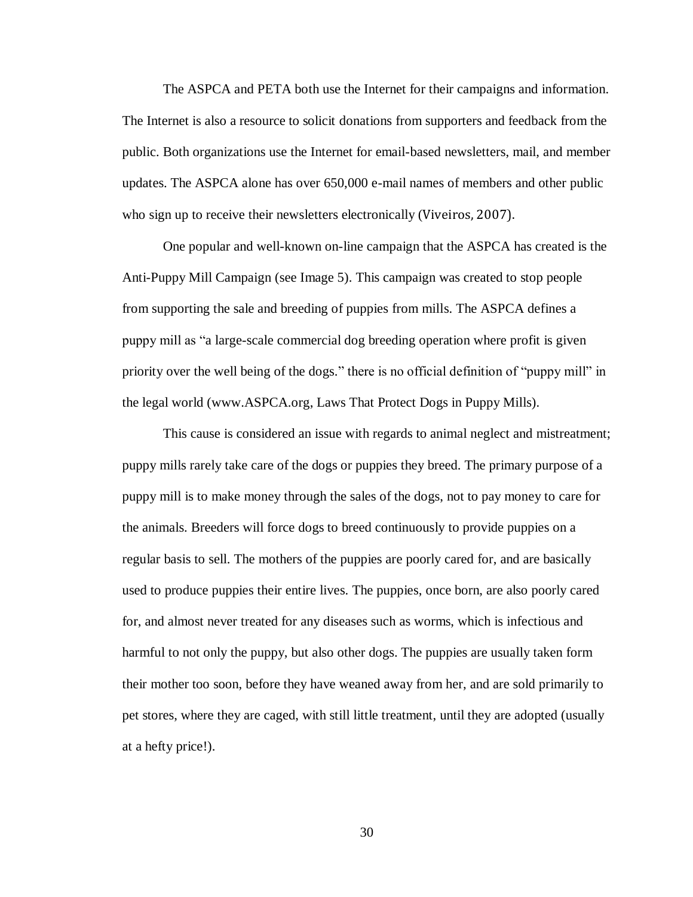The ASPCA and PETA both use the Internet for their campaigns and information. The Internet is also a resource to solicit donations from supporters and feedback from the public. Both organizations use the Internet for email-based newsletters, mail, and member updates. The ASPCA alone has over 650,000 e-mail names of members and other public who sign up to receive their newsletters electronically (Viveiros, 2007).

One popular and well-known on-line campaign that the ASPCA has created is the Anti-Puppy Mill Campaign (see Image 5). This campaign was created to stop people from supporting the sale and breeding of puppies from mills. The ASPCA defines a puppy mill as "a large-scale commercial dog breeding operation where profit is given priority over the well being of the dogs." there is no official definition of "puppy mill" in the legal world [\(www.ASPCA.org,](http://www.aspca.org/) Laws That Protect Dogs in Puppy Mills).

This cause is considered an issue with regards to animal neglect and mistreatment; puppy mills rarely take care of the dogs or puppies they breed. The primary purpose of a puppy mill is to make money through the sales of the dogs, not to pay money to care for the animals. Breeders will force dogs to breed continuously to provide puppies on a regular basis to sell. The mothers of the puppies are poorly cared for, and are basically used to produce puppies their entire lives. The puppies, once born, are also poorly cared for, and almost never treated for any diseases such as worms, which is infectious and harmful to not only the puppy, but also other dogs. The puppies are usually taken form their mother too soon, before they have weaned away from her, and are sold primarily to pet stores, where they are caged, with still little treatment, until they are adopted (usually at a hefty price!).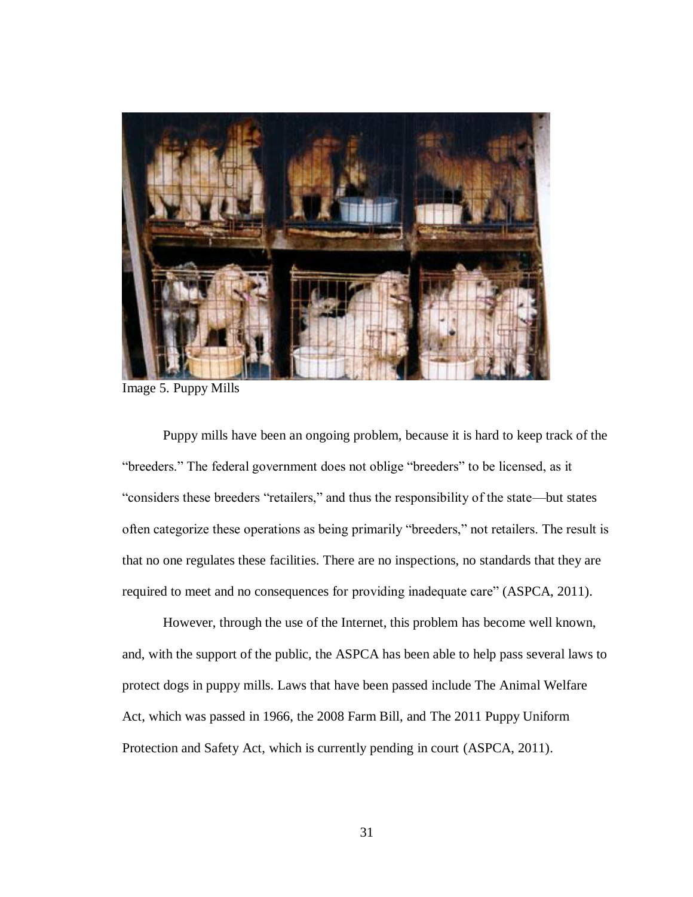

Image 5. Puppy Mills

Puppy mills have been an ongoing problem, because it is hard to keep track of the "breeders." The federal government does not oblige "breeders" to be licensed, as it "considers these breeders "retailers," and thus the responsibility of the state—but states often categorize these operations as being primarily "breeders," not retailers. The result is that no one regulates these facilities. There are no inspections, no standards that they are required to meet and no consequences for providing inadequate care" (ASPCA, 2011).

However, through the use of the Internet, this problem has become well known, and, with the support of the public, the ASPCA has been able to help pass several laws to protect dogs in puppy mills. Laws that have been passed include The Animal Welfare Act, which was passed in 1966, the 2008 Farm Bill, and The 2011 Puppy Uniform Protection and Safety Act, which is currently pending in court (ASPCA, 2011).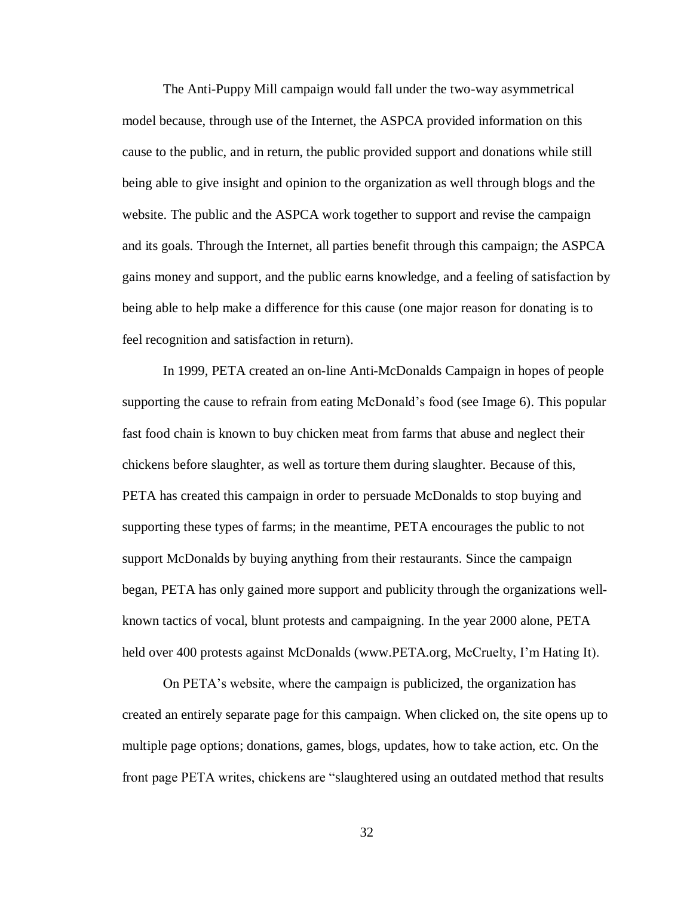The Anti-Puppy Mill campaign would fall under the two-way asymmetrical model because, through use of the Internet, the ASPCA provided information on this cause to the public, and in return, the public provided support and donations while still being able to give insight and opinion to the organization as well through blogs and the website. The public and the ASPCA work together to support and revise the campaign and its goals. Through the Internet, all parties benefit through this campaign; the ASPCA gains money and support, and the public earns knowledge, and a feeling of satisfaction by being able to help make a difference for this cause (one major reason for donating is to feel recognition and satisfaction in return).

In 1999, PETA created an on-line Anti-McDonalds Campaign in hopes of people supporting the cause to refrain from eating McDonald's food (see Image 6). This popular fast food chain is known to buy chicken meat from farms that abuse and neglect their chickens before slaughter, as well as torture them during slaughter. Because of this, PETA has created this campaign in order to persuade McDonalds to stop buying and supporting these types of farms; in the meantime, PETA encourages the public to not support McDonalds by buying anything from their restaurants. Since the campaign began, PETA has only gained more support and publicity through the organizations wellknown tactics of vocal, blunt protests and campaigning. In the year 2000 alone, PETA held over 400 protests against McDonalds [\(www.PETA.org,](http://www.peta.org/) McCruelty, I'm Hating It).

On PETA's website, where the campaign is publicized, the organization has created an entirely separate page for this campaign. When clicked on, the site opens up to multiple page options; donations, games, blogs, updates, how to take action, etc. On the front page PETA writes, chickens are "slaughtered using an outdated method that results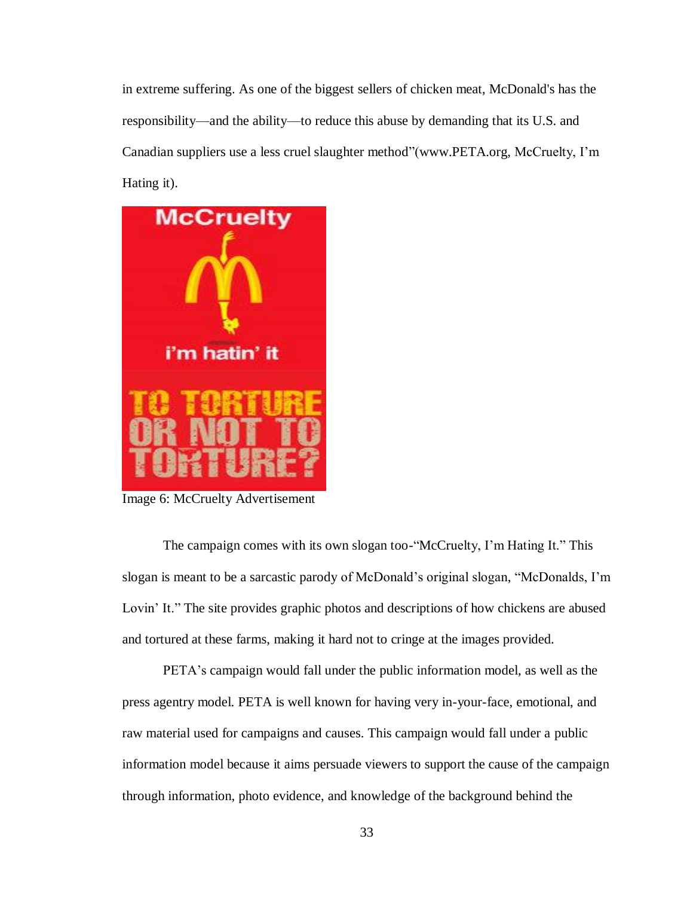in extreme suffering. As one of the biggest sellers of chicken meat, McDonald's has the responsibility—and the ability—to reduce this abuse by demanding that its U.S. and Canadian suppliers use a less cruel slaughter method"[\(www.PETA.org,](http://www.peta.org/) McCruelty, I'm Hating it).



Image 6: McCruelty Advertisement

The campaign comes with its own slogan too-"McCruelty, I'm Hating It." This slogan is meant to be a sarcastic parody of McDonald's original slogan, "McDonalds, I'm Lovin' It." The site provides graphic photos and descriptions of how chickens are abused and tortured at these farms, making it hard not to cringe at the images provided.

PETA's campaign would fall under the public information model, as well as the press agentry model. PETA is well known for having very in-your-face, emotional, and raw material used for campaigns and causes. This campaign would fall under a public information model because it aims persuade viewers to support the cause of the campaign through information, photo evidence, and knowledge of the background behind the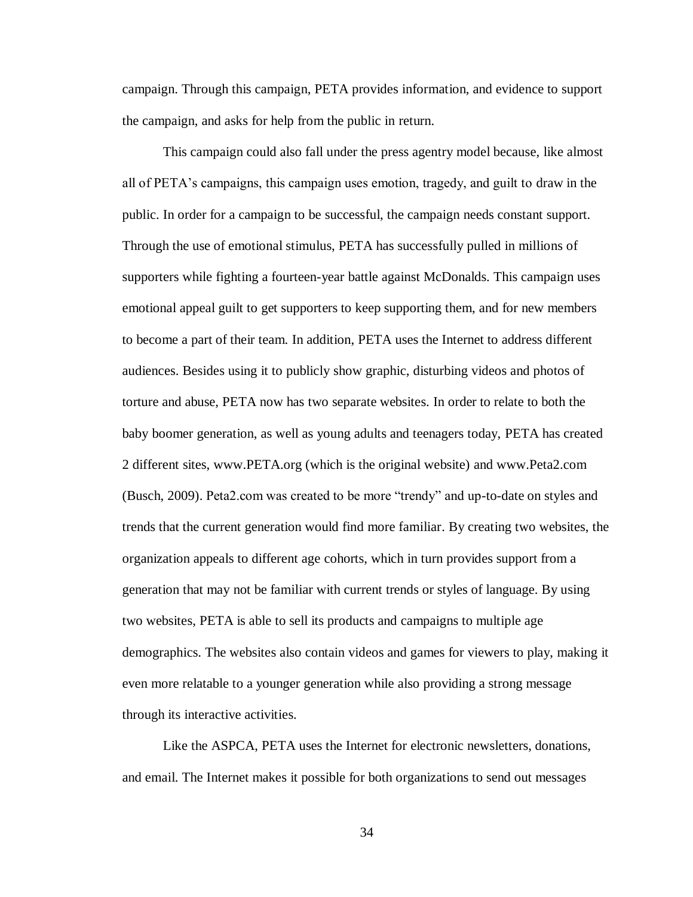campaign. Through this campaign, PETA provides information, and evidence to support the campaign, and asks for help from the public in return.

This campaign could also fall under the press agentry model because, like almost all of PETA's campaigns, this campaign uses emotion, tragedy, and guilt to draw in the public. In order for a campaign to be successful, the campaign needs constant support. Through the use of emotional stimulus, PETA has successfully pulled in millions of supporters while fighting a fourteen-year battle against McDonalds. This campaign uses emotional appeal guilt to get supporters to keep supporting them, and for new members to become a part of their team. In addition, PETA uses the Internet to address different audiences. Besides using it to publicly show graphic, disturbing videos and photos of torture and abuse, PETA now has two separate websites. In order to relate to both the baby boomer generation, as well as young adults and teenagers today, PETA has created 2 different sites, [www.PETA.org](http://www.peta.org/) (which is the original website) and [www.Peta2.com](http://www.peta2.com/) (Busch, 2009). Peta2.com was created to be more "trendy" and up-to-date on styles and trends that the current generation would find more familiar. By creating two websites, the organization appeals to different age cohorts, which in turn provides support from a generation that may not be familiar with current trends or styles of language. By using two websites, PETA is able to sell its products and campaigns to multiple age demographics. The websites also contain videos and games for viewers to play, making it even more relatable to a younger generation while also providing a strong message through its interactive activities.

Like the ASPCA, PETA uses the Internet for electronic newsletters, donations, and email. The Internet makes it possible for both organizations to send out messages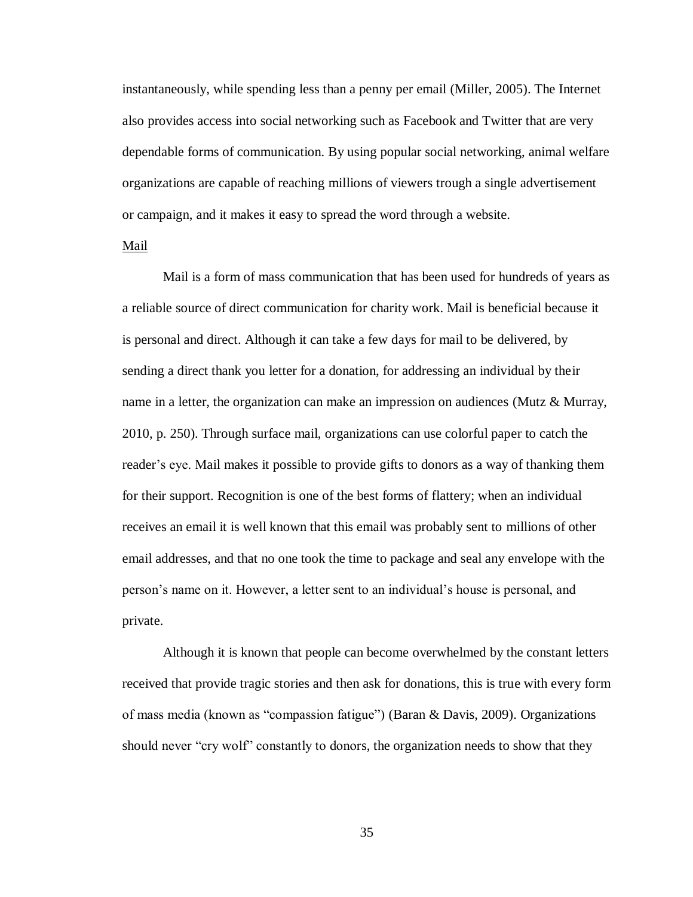instantaneously, while spending less than a penny per email (Miller, 2005). The Internet also provides access into social networking such as Facebook and Twitter that are very dependable forms of communication. By using popular social networking, animal welfare organizations are capable of reaching millions of viewers trough a single advertisement or campaign, and it makes it easy to spread the word through a website.

#### Mail

Mail is a form of mass communication that has been used for hundreds of years as a reliable source of direct communication for charity work. Mail is beneficial because it is personal and direct. Although it can take a few days for mail to be delivered, by sending a direct thank you letter for a donation, for addressing an individual by their name in a letter, the organization can make an impression on audiences (Mutz & Murray, 2010, p. 250). Through surface mail, organizations can use colorful paper to catch the reader's eye. Mail makes it possible to provide gifts to donors as a way of thanking them for their support. Recognition is one of the best forms of flattery; when an individual receives an email it is well known that this email was probably sent to millions of other email addresses, and that no one took the time to package and seal any envelope with the person's name on it. However, a letter sent to an individual's house is personal, and private.

Although it is known that people can become overwhelmed by the constant letters received that provide tragic stories and then ask for donations, this is true with every form of mass media (known as "compassion fatigue") (Baran & Davis, 2009). Organizations should never "cry wolf" constantly to donors, the organization needs to show that they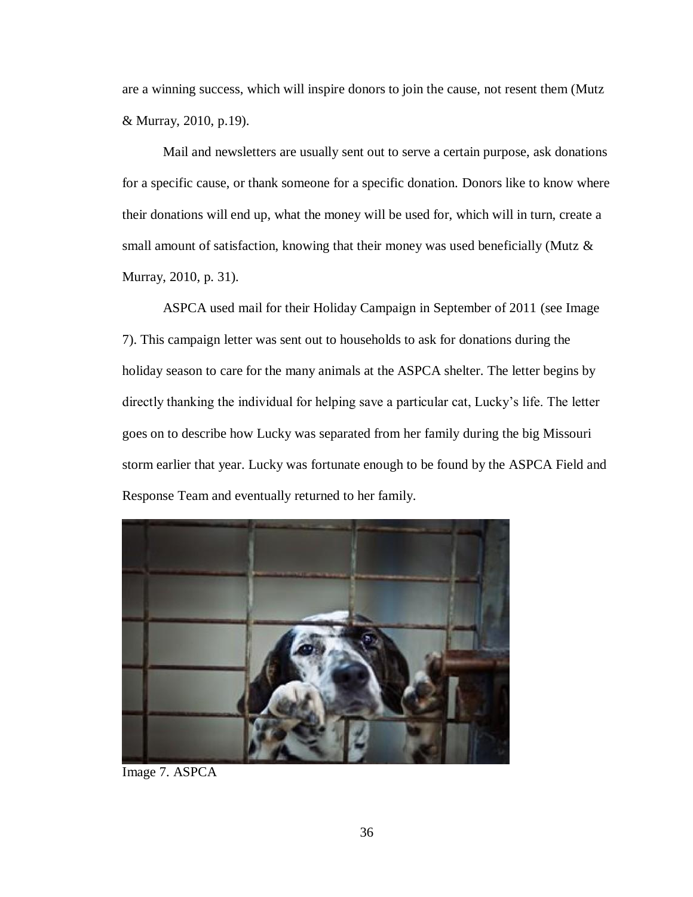are a winning success, which will inspire donors to join the cause, not resent them (Mutz & Murray, 2010, p.19).

Mail and newsletters are usually sent out to serve a certain purpose, ask donations for a specific cause, or thank someone for a specific donation. Donors like to know where their donations will end up, what the money will be used for, which will in turn, create a small amount of satisfaction, knowing that their money was used beneficially (Mutz & Murray, 2010, p. 31).

ASPCA used mail for their Holiday Campaign in September of 2011 (see Image 7). This campaign letter was sent out to households to ask for donations during the holiday season to care for the many animals at the ASPCA shelter. The letter begins by directly thanking the individual for helping save a particular cat, Lucky's life. The letter goes on to describe how Lucky was separated from her family during the big Missouri storm earlier that year. Lucky was fortunate enough to be found by the ASPCA Field and Response Team and eventually returned to her family.



Image 7. ASPCA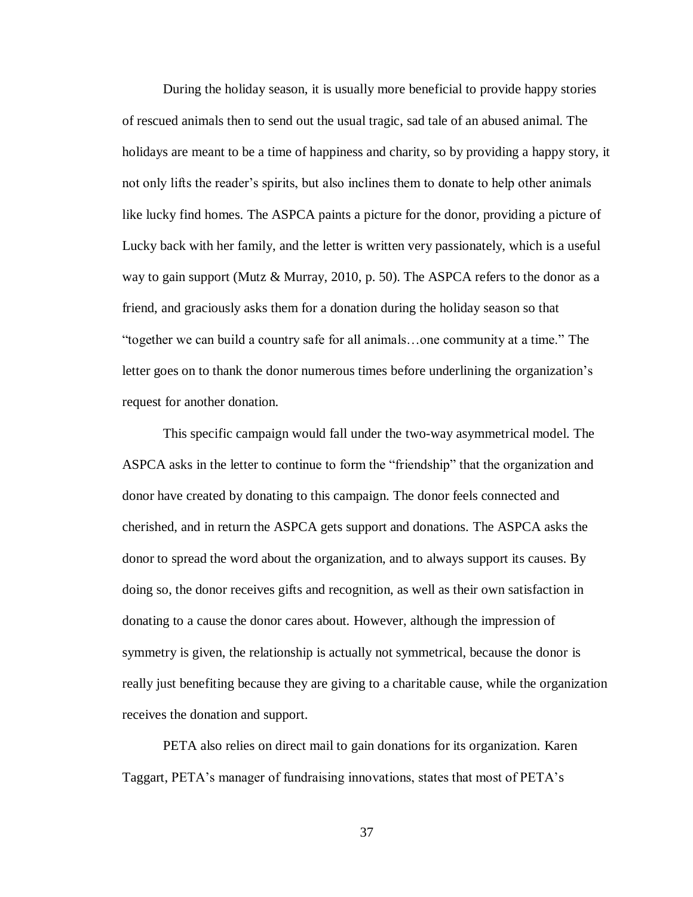During the holiday season, it is usually more beneficial to provide happy stories of rescued animals then to send out the usual tragic, sad tale of an abused animal. The holidays are meant to be a time of happiness and charity, so by providing a happy story, it not only lifts the reader's spirits, but also inclines them to donate to help other animals like lucky find homes. The ASPCA paints a picture for the donor, providing a picture of Lucky back with her family, and the letter is written very passionately, which is a useful way to gain support (Mutz & Murray, 2010, p. 50). The ASPCA refers to the donor as a friend, and graciously asks them for a donation during the holiday season so that "together we can build a country safe for all animals…one community at a time." The letter goes on to thank the donor numerous times before underlining the organization's request for another donation.

This specific campaign would fall under the two-way asymmetrical model. The ASPCA asks in the letter to continue to form the "friendship" that the organization and donor have created by donating to this campaign. The donor feels connected and cherished, and in return the ASPCA gets support and donations. The ASPCA asks the donor to spread the word about the organization, and to always support its causes. By doing so, the donor receives gifts and recognition, as well as their own satisfaction in donating to a cause the donor cares about. However, although the impression of symmetry is given, the relationship is actually not symmetrical, because the donor is really just benefiting because they are giving to a charitable cause, while the organization receives the donation and support.

PETA also relies on direct mail to gain donations for its organization. Karen Taggart, PETA's manager of fundraising innovations, states that most of PETA's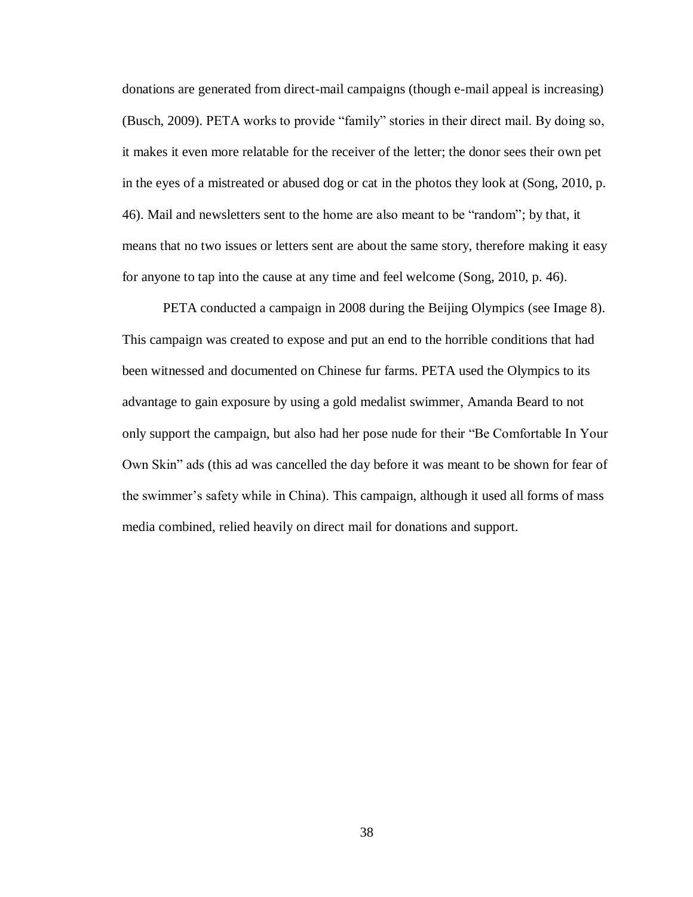donations are generated from direct-mail campaigns (though e-mail appeal is increasing) (Busch, 2009). PETA works to provide "family" stories in their direct mail. By doing so, it makes it even more relatable for the receiver of the letter; the donor sees their own pet in the eyes of a mistreated or abused dog or cat in the photos they look at (Song, 2010, p. 46). Mail and newsletters sent to the home are also meant to be "random"; by that, it means that no two issues or letters sent are about the same story, therefore making it easy for anyone to tap into the cause at any time and feel welcome (Song, 2010, p. 46).

PETA conducted a campaign in 2008 during the Beijing Olympics (see Image 8). This campaign was created to expose and put an end to the horrible conditions that had been witnessed and documented on Chinese fur farms. PETA used the Olympics to its advantage to gain exposure by using a gold medalist swimmer, Amanda Beard to not only support the campaign, but also had her pose nude for their "Be Comfortable In Your Own Skin" ads (this ad was cancelled the day before it was meant to be shown for fear of the swimmer's safety while in China). This campaign, although it used all forms of mass media combined, relied heavily on direct mail for donations and support.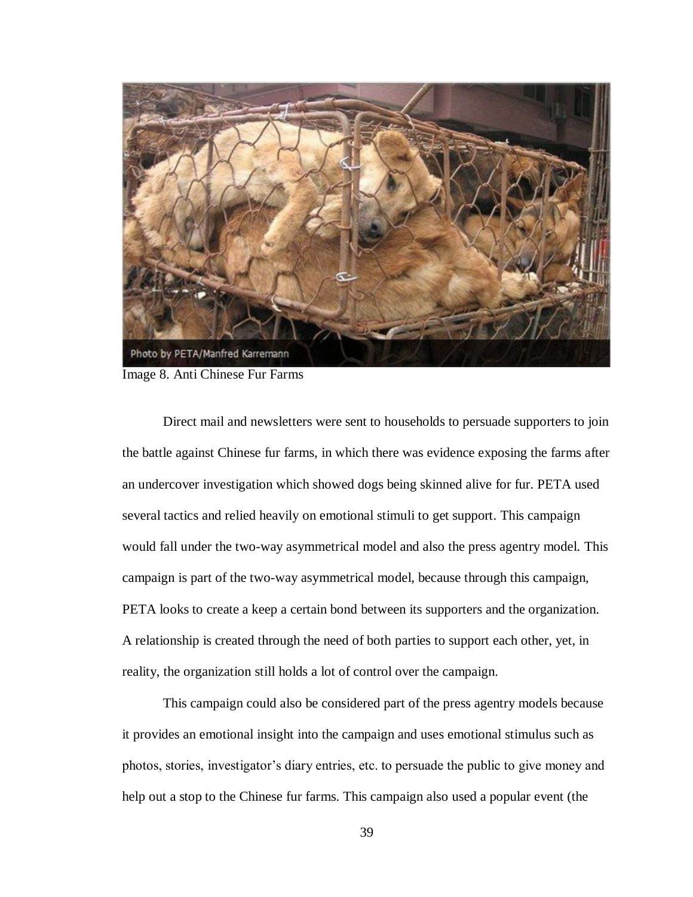

Image 8. Anti Chinese Fur Farms

Direct mail and newsletters were sent to households to persuade supporters to join the battle against Chinese fur farms, in which there was evidence exposing the farms after an undercover investigation which showed dogs being skinned alive for fur. PETA used several tactics and relied heavily on emotional stimuli to get support. This campaign would fall under the two-way asymmetrical model and also the press agentry model. This campaign is part of the two-way asymmetrical model, because through this campaign, PETA looks to create a keep a certain bond between its supporters and the organization. A relationship is created through the need of both parties to support each other, yet, in reality, the organization still holds a lot of control over the campaign.

This campaign could also be considered part of the press agentry models because it provides an emotional insight into the campaign and uses emotional stimulus such as photos, stories, investigator's diary entries, etc. to persuade the public to give money and help out a stop to the Chinese fur farms. This campaign also used a popular event (the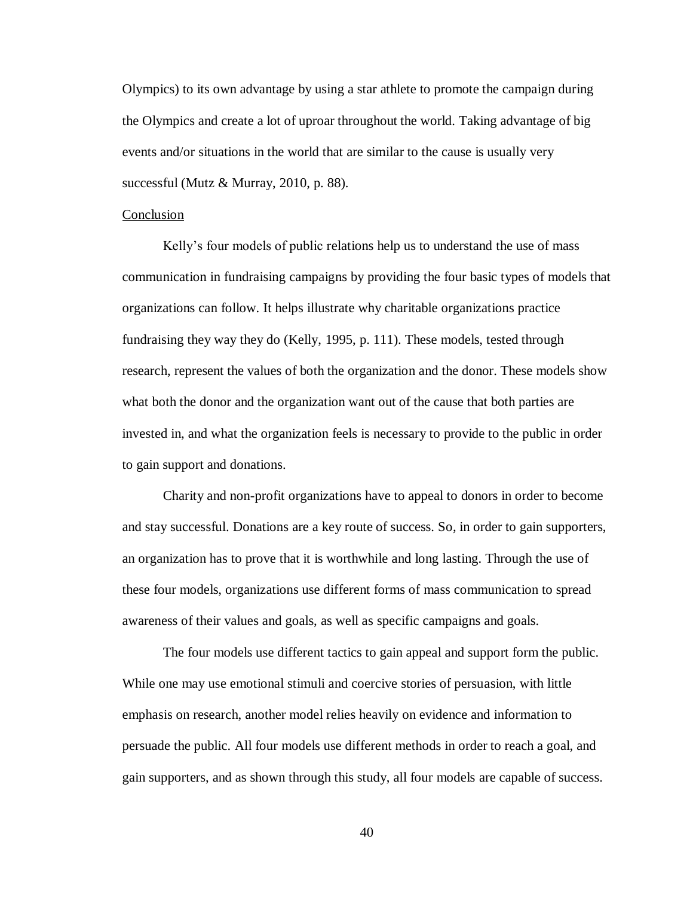Olympics) to its own advantage by using a star athlete to promote the campaign during the Olympics and create a lot of uproar throughout the world. Taking advantage of big events and/or situations in the world that are similar to the cause is usually very successful (Mutz & Murray, 2010, p. 88).

#### Conclusion

Kelly's four models of public relations help us to understand the use of mass communication in fundraising campaigns by providing the four basic types of models that organizations can follow. It helps illustrate why charitable organizations practice fundraising they way they do (Kelly, 1995, p. 111). These models, tested through research, represent the values of both the organization and the donor. These models show what both the donor and the organization want out of the cause that both parties are invested in, and what the organization feels is necessary to provide to the public in order to gain support and donations.

Charity and non-profit organizations have to appeal to donors in order to become and stay successful. Donations are a key route of success. So, in order to gain supporters, an organization has to prove that it is worthwhile and long lasting. Through the use of these four models, organizations use different forms of mass communication to spread awareness of their values and goals, as well as specific campaigns and goals.

The four models use different tactics to gain appeal and support form the public. While one may use emotional stimuli and coercive stories of persuasion, with little emphasis on research, another model relies heavily on evidence and information to persuade the public. All four models use different methods in order to reach a goal, and gain supporters, and as shown through this study, all four models are capable of success.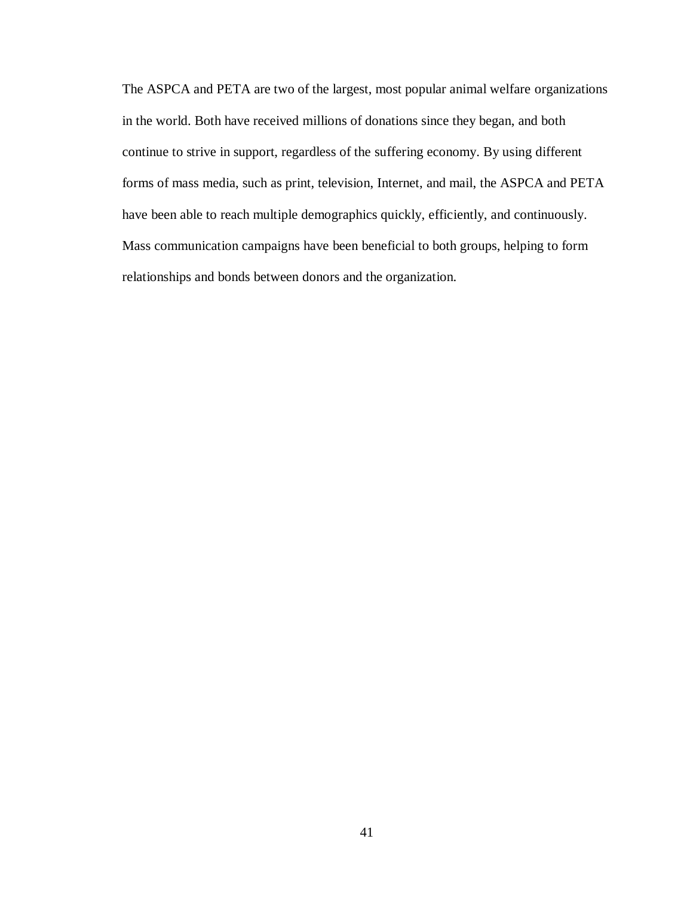The ASPCA and PETA are two of the largest, most popular animal welfare organizations in the world. Both have received millions of donations since they began, and both continue to strive in support, regardless of the suffering economy. By using different forms of mass media, such as print, television, Internet, and mail, the ASPCA and PETA have been able to reach multiple demographics quickly, efficiently, and continuously. Mass communication campaigns have been beneficial to both groups, helping to form relationships and bonds between donors and the organization.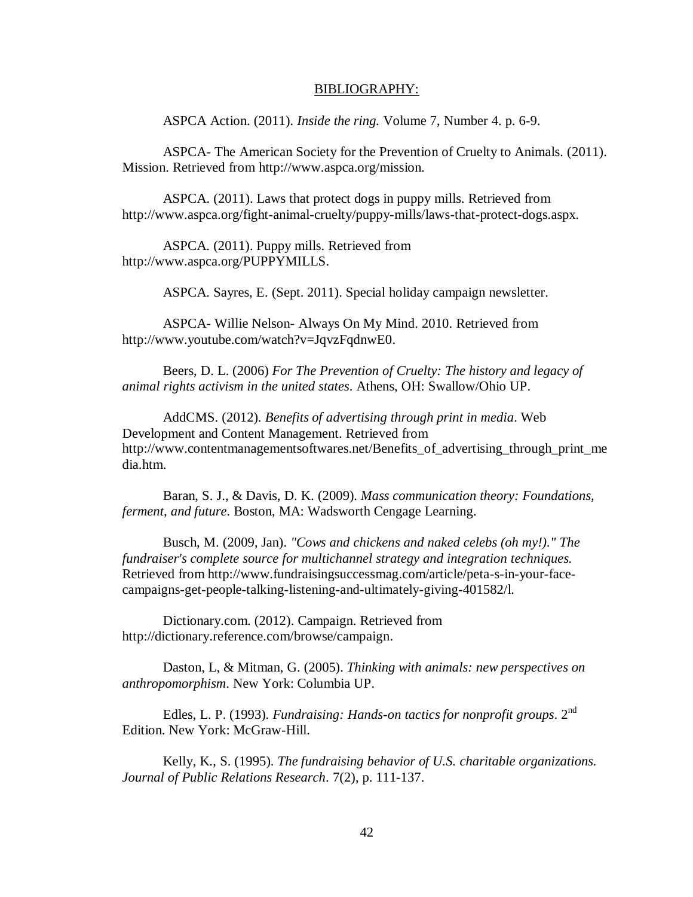#### BIBLIOGRAPHY:

ASPCA Action. (2011). *Inside the ring.* Volume 7, Number 4. p. 6-9.

ASPCA- The American Society for the Prevention of Cruelty to Animals. (2011). Mission. Retrieved from [http://www.aspca.org/m](http://www.aspca.org/)ission.

ASPCA. (2011). Laws that protect dogs in puppy mills. Retrieved from http://www.aspca.org/fight-animal-cruelty/puppy-mills/laws-that-protect-dogs.aspx.

ASPCA. (2011). Puppy mills. Retrieved from [http://www.aspca.org/PUPPYMILLS.](http://www.aspca.org/PUPPYMILLS)

ASPCA. Sayres, E. (Sept. 2011). Special holiday campaign newsletter.

ASPCA- Willie Nelson- Always On My Mind. 2010. Retrieved from http://www.youtube.com/watch?v=JqvzFqdnwE0.

Beers, D. L. (2006) *For The Prevention of Cruelty: The history and legacy of animal rights activism in the united states*. Athens, OH: Swallow/Ohio UP.

AddCMS. (2012). *Benefits of advertising through print in media*. Web Development and Content Management. Retrieved from http://www.contentmanagementsoftwares.net/Benefits\_of\_advertising\_through\_print\_me dia.htm.

Baran, S. J., & Davis, D. K. (2009). *Mass communication theory: Foundations, ferment, and future*. Boston, MA: Wadsworth Cengage Learning.

Busch, M. (2009, Jan). *"Cows and chickens and naked celebs (oh my!)." The fundraiser's complete source for multichannel strategy and integration techniques.*  Retrieved from http://www.fundraisingsuccessmag.com/article/peta-s-in-your-facecampaigns-get-people-talking-listening-and-ultimately-giving-401582/l.

Dictionary.com. (2012). Campaign. Retrieved from http://dictionary.reference.com/browse/campaign.

Daston, L, & Mitman, G. (2005). *Thinking with animals: new perspectives on anthropomorphism*. New York: Columbia UP.

Edles, L. P. (1993). *Fundraising: Hands-on tactics for nonprofit groups*. 2nd Edition. New York: McGraw-Hill.

Kelly, K., S. (1995). *The fundraising behavior of U.S. charitable organizations. Journal of Public Relations Research*. 7(2), p. 111-137.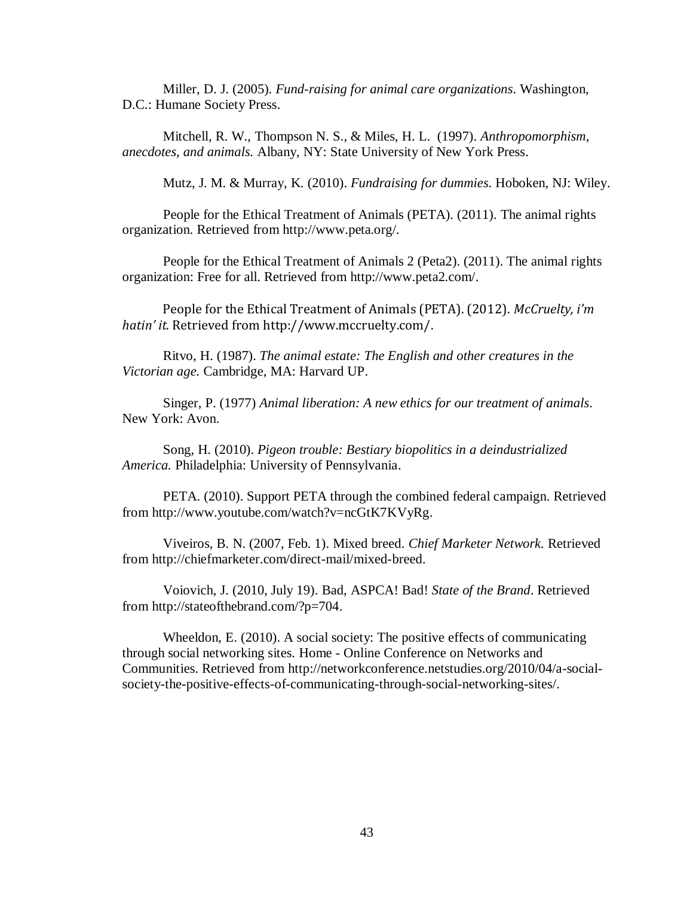Miller, D. J. (2005). *Fund-raising for animal care organizations*. Washington, D.C.: Humane Society Press.

Mitchell, R. W., Thompson N. S., & Miles, H. L. (1997). *Anthropomorphism, anecdotes, and animals.* Albany, NY: State University of New York Press.

Mutz, J. M. & Murray, K. (2010). *Fundraising for dummies*. Hoboken, NJ: Wiley.

People for the Ethical Treatment of Animals (PETA). (2011). The animal rights organization. Retrieved from [http://www.peta.org/.](http://www.peta.org/)

People for the Ethical Treatment of Animals 2 (Peta2). (2011). The animal rights organization: Free for all. Retrieved from [http://www.peta2.com/.](http://www.peta2.com/)

People for the Ethical Treatment of Animals (PETA). (2012). *McCruelty, i'm hatin' it.* Retrieved from http://www.mccruelty.com/.

Ritvo, H. (1987). *The animal estate: The English and other creatures in the Victorian age.* Cambridge, MA: Harvard UP.

Singer, P. (1977) *Animal liberation: A new ethics for our treatment of animals*. New York: Avon.

Song, H. (2010). *Pigeon trouble: Bestiary biopolitics in a deindustrialized America.* Philadelphia: University of Pennsylvania.

PETA. (2010). Support PETA through the combined federal campaign. Retrieved from http://www.youtube.com/watch?v=ncGtK7KVyRg.

Viveiros, B. N. (2007, Feb. 1). Mixed breed. *Chief Marketer Network.* Retrieved from http://chiefmarketer.com/direct-mail/mixed-breed.

Voiovich, J. (2010, July 19). Bad, ASPCA! Bad! *State of the Brand*. Retrieved from http://stateofthebrand.com/?p=704.

Wheeldon, E. (2010). A social society: The positive effects of communicating through social networking sites. Home - Online Conference on Networks and Communities. Retrieved from http://networkconference.netstudies.org/2010/04/a-socialsociety-the-positive-effects-of-communicating-through-social-networking-sites/.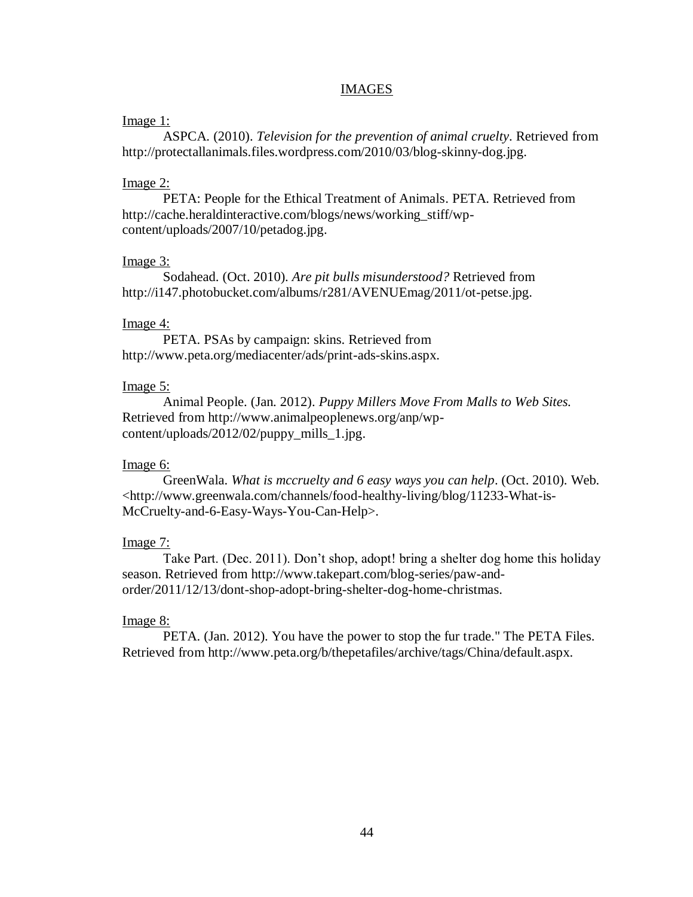## IMAGES

## Image 1:

ASPCA. (2010). *Television for the prevention of animal cruelty*. Retrieved from http://protectallanimals.files.wordpress.com/2010/03/blog-skinny-dog.jpg.

## Image 2:

PETA: People for the Ethical Treatment of Animals. PETA. Retrieved from http://cache.heraldinteractive.com/blogs/news/working\_stiff/wpcontent/uploads/2007/10/petadog.jpg.

# Image 3:

Sodahead. (Oct. 2010). *Are pit bulls misunderstood?* Retrieved from http://i147.photobucket.com/albums/r281/AVENUEmag/2011/ot-petse.jpg.

## Image 4:

PETA. PSAs by campaign: skins. Retrieved from http://www.peta.org/mediacenter/ads/print-ads-skins.aspx.

## Image 5:

Animal People. (Jan. 2012). *Puppy Millers Move From Malls to Web Sites.* Retrieved from http://www.animalpeoplenews.org/anp/wpcontent/uploads/2012/02/puppy\_mills\_1.jpg.

# Image 6:

GreenWala. *What is mccruelty and 6 easy ways you can help*. (Oct. 2010). Web. <http://www.greenwala.com/channels/food-healthy-living/blog/11233-What-is-McCruelty-and-6-Easy-Ways-You-Can-Help>.

# Image 7:

Take Part. (Dec. 2011). Don't shop, adopt! bring a shelter dog home this holiday season. Retrieved from http://www.takepart.com/blog-series/paw-andorder/2011/12/13/dont-shop-adopt-bring-shelter-dog-home-christmas.

## Image 8:

PETA. (Jan. 2012). You have the power to stop the fur trade." The PETA Files. Retrieved from http://www.peta.org/b/thepetafiles/archive/tags/China/default.aspx.